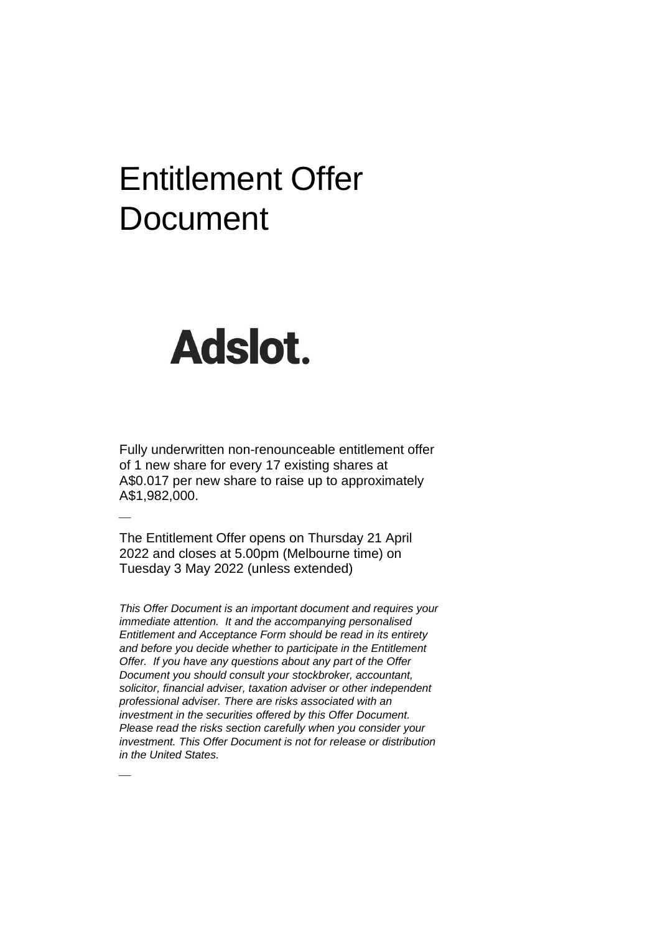# Entitlement Offer **Document**

# Adslot.

⎯

⎯

Fully underwritten non-renounceable entitlement offer of 1 new share for every 17 existing shares at A\$0.017 per new share to raise up to approximately A\$1,982,000.

The Entitlement Offer opens on Thursday 21 April 2022 and closes at 5.00pm (Melbourne time) on Tuesday 3 May 2022 (unless extended)

*This Offer Document is an important document and requires your immediate attention. It and the accompanying personalised Entitlement and Acceptance Form should be read in its entirety and before you decide whether to participate in the Entitlement Offer. If you have any questions about any part of the Offer Document you should consult your stockbroker, accountant, solicitor, financial adviser, taxation adviser or other independent professional adviser. There are risks associated with an investment in the securities offered by this Offer Document. Please read the risks section carefully when you consider your investment. This Offer Document is not for release or distribution in the United States.*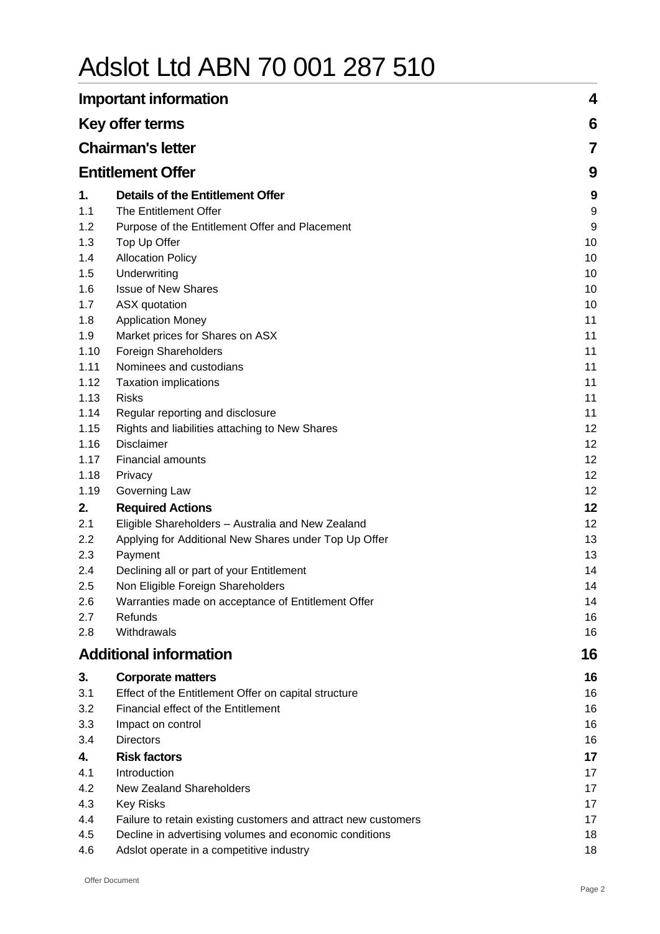# Adslot Ltd ABN 70 001 287 510

|      | <b>Important information</b>                                   | 4  |
|------|----------------------------------------------------------------|----|
|      | Key offer terms                                                | 6  |
|      | <b>Chairman's letter</b>                                       | 7  |
|      | <b>Entitlement Offer</b>                                       | 9  |
| 1.   | <b>Details of the Entitlement Offer</b>                        | 9  |
| 1.1  | The Entitlement Offer                                          | 9  |
| 1.2  | Purpose of the Entitlement Offer and Placement                 | 9  |
| 1.3  | Top Up Offer                                                   | 10 |
| 1.4  | <b>Allocation Policy</b>                                       | 10 |
| 1.5  | Underwriting                                                   | 10 |
| 1.6  | <b>Issue of New Shares</b>                                     | 10 |
| 1.7  | ASX quotation                                                  | 10 |
| 1.8  | <b>Application Money</b>                                       | 11 |
| 1.9  | Market prices for Shares on ASX                                | 11 |
| 1.10 | Foreign Shareholders                                           | 11 |
| 1.11 | Nominees and custodians                                        | 11 |
| 1.12 | <b>Taxation implications</b>                                   | 11 |
| 1.13 | <b>Risks</b>                                                   | 11 |
| 1.14 | Regular reporting and disclosure                               | 11 |
| 1.15 | Rights and liabilities attaching to New Shares                 | 12 |
| 1.16 | <b>Disclaimer</b>                                              | 12 |
| 1.17 | <b>Financial amounts</b>                                       | 12 |
| 1.18 | Privacy                                                        | 12 |
| 1.19 | Governing Law                                                  | 12 |
| 2.   | <b>Required Actions</b>                                        | 12 |
| 2.1  | Eligible Shareholders - Australia and New Zealand              | 12 |
| 2.2  | Applying for Additional New Shares under Top Up Offer          | 13 |
| 2.3  | Payment                                                        | 13 |
| 2.4  | Declining all or part of your Entitlement                      | 14 |
| 2.5  | Non Eligible Foreign Shareholders                              | 14 |
| 2.6  | Warranties made on acceptance of Entitlement Offer             | 14 |
| 2.7  | Refunds                                                        | 16 |
| 2.8  | Withdrawals                                                    | 16 |
|      | <b>Additional information</b>                                  | 16 |
| 3.   | <b>Corporate matters</b>                                       | 16 |
| 3.1  | Effect of the Entitlement Offer on capital structure           | 16 |
| 3.2  | Financial effect of the Entitlement                            | 16 |
| 3.3  | Impact on control                                              | 16 |
| 3.4  | <b>Directors</b>                                               | 16 |
| 4.   | <b>Risk factors</b>                                            | 17 |
| 4.1  | Introduction                                                   | 17 |
| 4.2  | New Zealand Shareholders                                       | 17 |
| 4.3  | <b>Key Risks</b>                                               | 17 |
| 4.4  | Failure to retain existing customers and attract new customers | 17 |
| 4.5  | Decline in advertising volumes and economic conditions         | 18 |
| 4.6  | Adslot operate in a competitive industry                       | 18 |
|      |                                                                |    |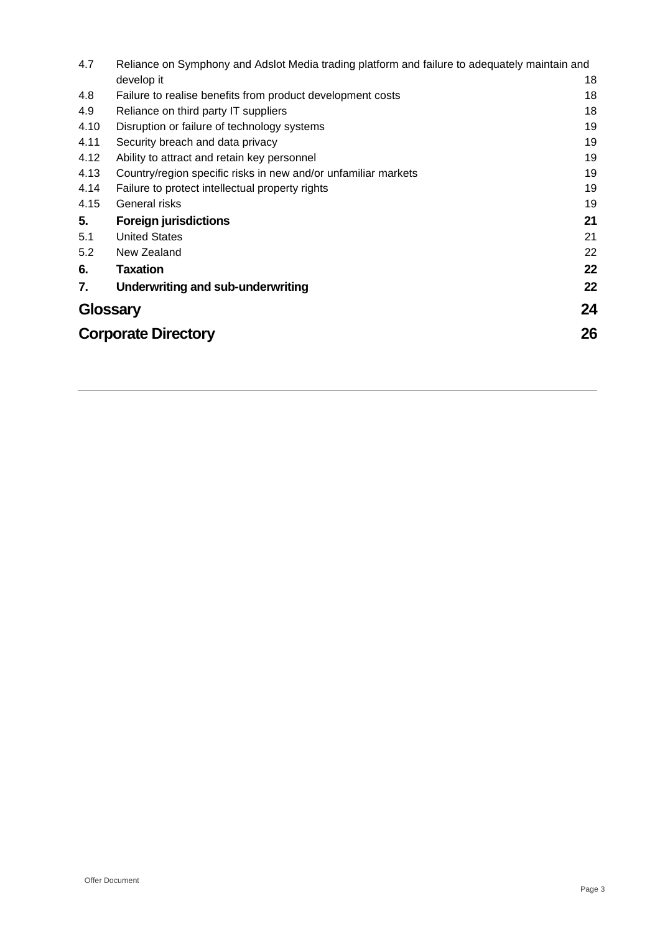| 4.7             | Reliance on Symphony and Adslot Media trading platform and failure to adequately maintain and |    |  |
|-----------------|-----------------------------------------------------------------------------------------------|----|--|
|                 | develop it                                                                                    | 18 |  |
| 4.8             | Failure to realise benefits from product development costs                                    | 18 |  |
| 4.9             | Reliance on third party IT suppliers                                                          | 18 |  |
| 4.10            | Disruption or failure of technology systems                                                   | 19 |  |
| 4.11            | Security breach and data privacy                                                              | 19 |  |
| 4.12            | Ability to attract and retain key personnel                                                   | 19 |  |
| 4.13            | Country/region specific risks in new and/or unfamiliar markets                                | 19 |  |
| 4.14            | Failure to protect intellectual property rights                                               | 19 |  |
| 4.15            | General risks                                                                                 | 19 |  |
| 5.              | <b>Foreign jurisdictions</b>                                                                  | 21 |  |
| 5.1             | <b>United States</b>                                                                          | 21 |  |
| 5.2             | New Zealand                                                                                   | 22 |  |
| 6.              | <b>Taxation</b>                                                                               | 22 |  |
| 7.              | Underwriting and sub-underwriting                                                             | 22 |  |
| <b>Glossary</b> |                                                                                               | 24 |  |
|                 | 26<br><b>Corporate Directory</b>                                                              |    |  |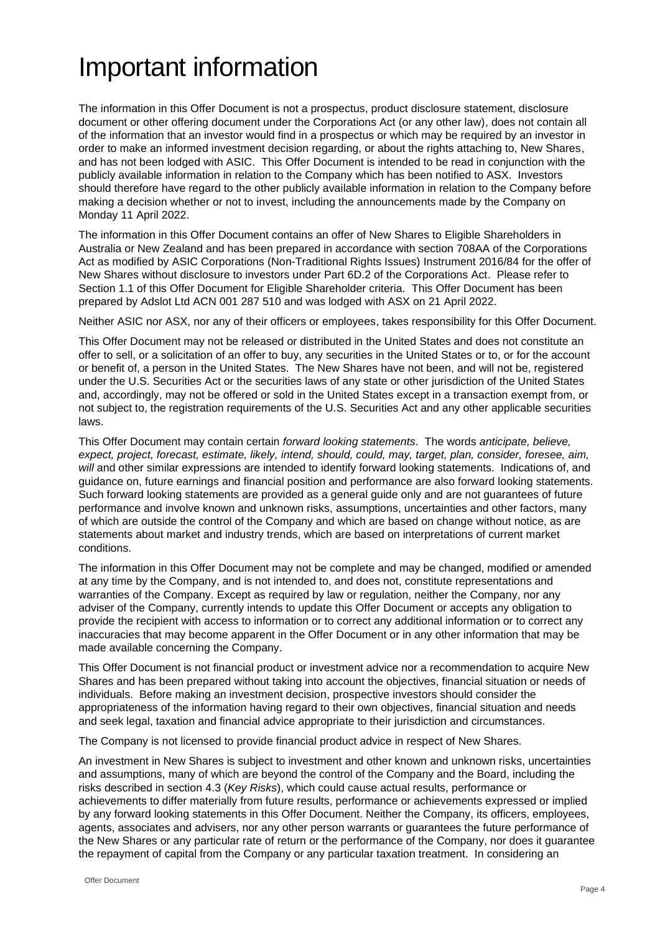# Important information

The information in this Offer Document is not a prospectus, product disclosure statement, disclosure document or other offering document under the Corporations Act (or any other law), does not contain all of the information that an investor would find in a prospectus or which may be required by an investor in order to make an informed investment decision regarding, or about the rights attaching to, New Shares, and has not been lodged with ASIC. This Offer Document is intended to be read in conjunction with the publicly available information in relation to the Company which has been notified to ASX. Investors should therefore have regard to the other publicly available information in relation to the Company before making a decision whether or not to invest, including the announcements made by the Company on Monday 11 April 2022.

The information in this Offer Document contains an offer of New Shares to Eligible Shareholders in Australia or New Zealand and has been prepared in accordance with section 708AA of the Corporations Act as modified by ASIC Corporations (Non-Traditional Rights Issues) Instrument 2016/84 for the offer of New Shares without disclosure to investors under Part 6D.2 of the Corporations Act. Please refer to Section [1.1](#page-8-0) of this Offer Document for Eligible Shareholder criteria. This Offer Document has been prepared by Adslot Ltd ACN 001 287 510 and was lodged with ASX on 21 April 2022.

Neither ASIC nor ASX, nor any of their officers or employees, takes responsibility for this Offer Document.

This Offer Document may not be released or distributed in the United States and does not constitute an offer to sell, or a solicitation of an offer to buy, any securities in the United States or to, or for the account or benefit of, a person in the United States. The New Shares have not been, and will not be, registered under the U.S. Securities Act or the securities laws of any state or other jurisdiction of the United States and, accordingly, may not be offered or sold in the United States except in a transaction exempt from, or not subject to, the registration requirements of the U.S. Securities Act and any other applicable securities laws.

This Offer Document may contain certain *forward looking statements*. The words *anticipate, believe, expect, project, forecast, estimate, likely, intend, should, could, may, target, plan, consider, foresee, aim, will* and other similar expressions are intended to identify forward looking statements. Indications of, and guidance on, future earnings and financial position and performance are also forward looking statements. Such forward looking statements are provided as a general guide only and are not guarantees of future performance and involve known and unknown risks, assumptions, uncertainties and other factors, many of which are outside the control of the Company and which are based on change without notice, as are statements about market and industry trends, which are based on interpretations of current market conditions.

The information in this Offer Document may not be complete and may be changed, modified or amended at any time by the Company, and is not intended to, and does not, constitute representations and warranties of the Company. Except as required by law or regulation, neither the Company, nor any adviser of the Company, currently intends to update this Offer Document or accepts any obligation to provide the recipient with access to information or to correct any additional information or to correct any inaccuracies that may become apparent in the Offer Document or in any other information that may be made available concerning the Company.

This Offer Document is not financial product or investment advice nor a recommendation to acquire New Shares and has been prepared without taking into account the objectives, financial situation or needs of individuals. Before making an investment decision, prospective investors should consider the appropriateness of the information having regard to their own objectives, financial situation and needs and seek legal, taxation and financial advice appropriate to their jurisdiction and circumstances.

The Company is not licensed to provide financial product advice in respect of New Shares.

An investment in New Shares is subject to investment and other known and unknown risks, uncertainties and assumptions, many of which are beyond the control of the Company and the Board, including the risks described in section [4.3](#page-16-0) (*Key Risks*), which could cause actual results, performance or achievements to differ materially from future results, performance or achievements expressed or implied by any forward looking statements in this Offer Document. Neither the Company, its officers, employees, agents, associates and advisers, nor any other person warrants or guarantees the future performance of the New Shares or any particular rate of return or the performance of the Company, nor does it guarantee the repayment of capital from the Company or any particular taxation treatment. In considering an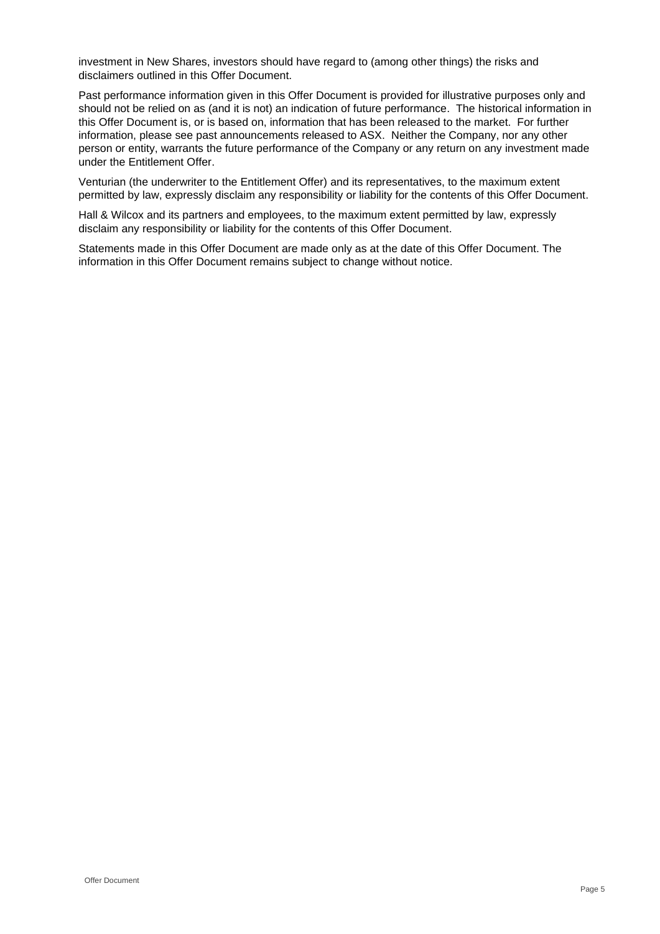investment in New Shares, investors should have regard to (among other things) the risks and disclaimers outlined in this Offer Document.

Past performance information given in this Offer Document is provided for illustrative purposes only and should not be relied on as (and it is not) an indication of future performance. The historical information in this Offer Document is, or is based on, information that has been released to the market. For further information, please see past announcements released to ASX. Neither the Company, nor any other person or entity, warrants the future performance of the Company or any return on any investment made under the Entitlement Offer.

Venturian (the underwriter to the Entitlement Offer) and its representatives, to the maximum extent permitted by law, expressly disclaim any responsibility or liability for the contents of this Offer Document.

Hall & Wilcox and its partners and employees, to the maximum extent permitted by law, expressly disclaim any responsibility or liability for the contents of this Offer Document.

Statements made in this Offer Document are made only as at the date of this Offer Document. The information in this Offer Document remains subject to change without notice.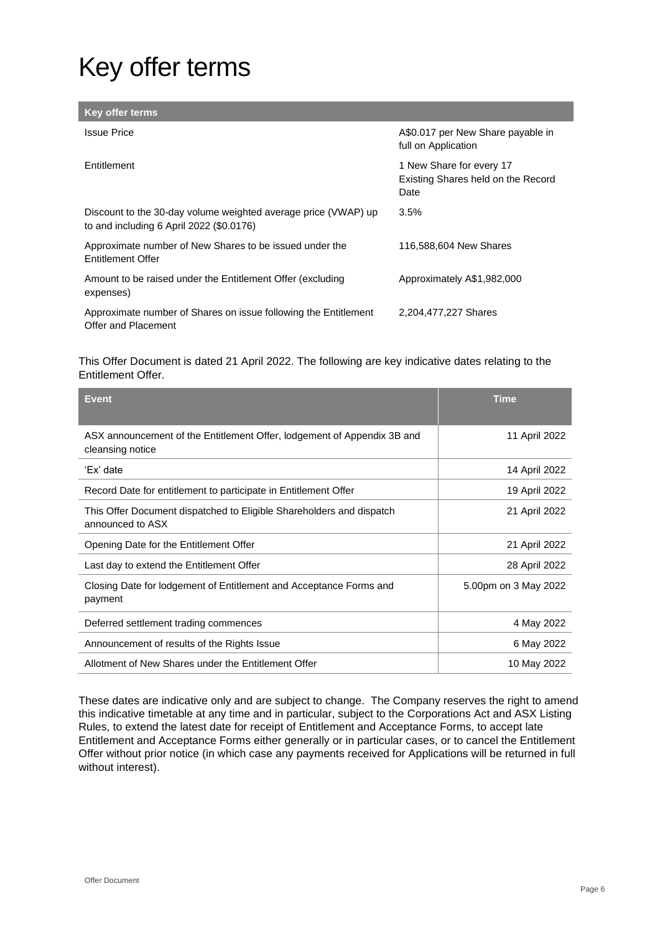# Key offer terms

| <b>Key offer terms</b>                                                                                     |                                                                        |
|------------------------------------------------------------------------------------------------------------|------------------------------------------------------------------------|
| <b>Issue Price</b>                                                                                         | A\$0.017 per New Share payable in<br>full on Application               |
| Entitlement                                                                                                | 1 New Share for every 17<br>Existing Shares held on the Record<br>Date |
| Discount to the 30-day volume weighted average price (VWAP) up<br>to and including 6 April 2022 (\$0.0176) | $3.5\%$                                                                |
| Approximate number of New Shares to be issued under the<br><b>Entitlement Offer</b>                        | 116,588,604 New Shares                                                 |
| Amount to be raised under the Entitlement Offer (excluding<br>expenses)                                    | Approximately A\$1,982,000                                             |
| Approximate number of Shares on issue following the Entitlement<br>Offer and Placement                     | 2,204,477,227 Shares                                                   |

This Offer Document is dated 21 April 2022. The following are key indicative dates relating to the Entitlement Offer.

| <b>Event</b>                                                                                | <b>Time</b>          |
|---------------------------------------------------------------------------------------------|----------------------|
| ASX announcement of the Entitlement Offer, lodgement of Appendix 3B and<br>cleansing notice | 11 April 2022        |
| 'Ex' date                                                                                   | 14 April 2022        |
| Record Date for entitlement to participate in Entitlement Offer                             | 19 April 2022        |
| This Offer Document dispatched to Eligible Shareholders and dispatch<br>announced to ASX    | 21 April 2022        |
| Opening Date for the Entitlement Offer                                                      | 21 April 2022        |
| Last day to extend the Entitlement Offer                                                    | 28 April 2022        |
| Closing Date for lodgement of Entitlement and Acceptance Forms and<br>payment               | 5.00pm on 3 May 2022 |
| Deferred settlement trading commences                                                       | 4 May 2022           |
| Announcement of results of the Rights Issue                                                 | 6 May 2022           |
| Allotment of New Shares under the Entitlement Offer                                         | 10 May 2022          |

These dates are indicative only and are subject to change. The Company reserves the right to amend this indicative timetable at any time and in particular, subject to the Corporations Act and ASX Listing Rules, to extend the latest date for receipt of Entitlement and Acceptance Forms, to accept late Entitlement and Acceptance Forms either generally or in particular cases, or to cancel the Entitlement Offer without prior notice (in which case any payments received for Applications will be returned in full without interest).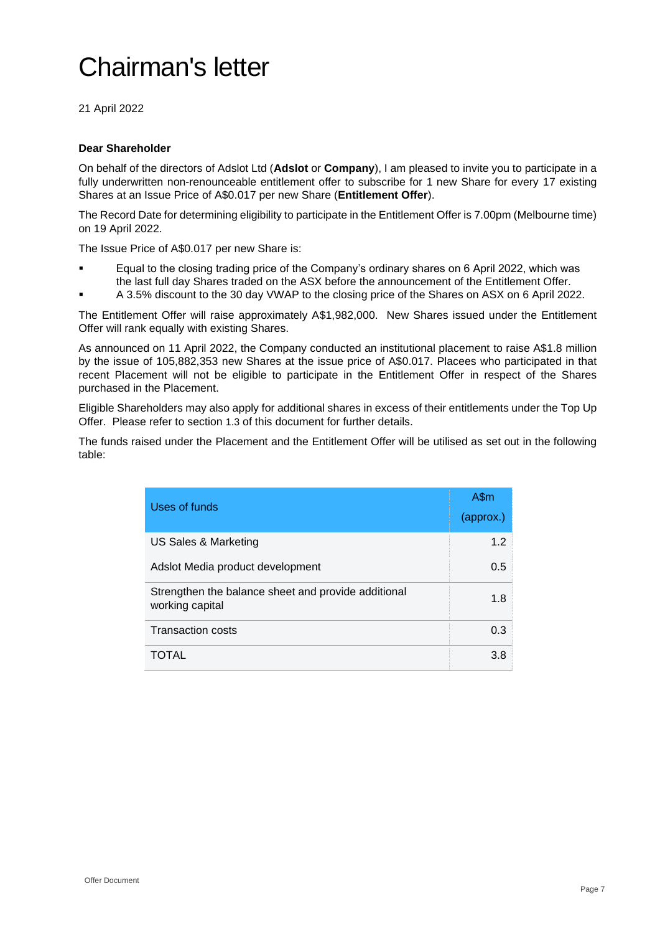# Chairman's letter

21 April 2022

#### **Dear Shareholder**

On behalf of the directors of Adslot Ltd (**Adslot** or **Company**), I am pleased to invite you to participate in a fully underwritten non-renounceable entitlement offer to subscribe for 1 new Share for every 17 existing Shares at an Issue Price of A\$0.017 per new Share (**Entitlement Offer**).

The Record Date for determining eligibility to participate in the Entitlement Offer is 7.00pm (Melbourne time) on 19 April 2022.

The Issue Price of A\$0.017 per new Share is:

- Equal to the closing trading price of the Company's ordinary shares on 6 April 2022, which was the last full day Shares traded on the ASX before the announcement of the Entitlement Offer.
- A 3.5% discount to the 30 day VWAP to the closing price of the Shares on ASX on 6 April 2022.

The Entitlement Offer will raise approximately A\$1,982,000. New Shares issued under the Entitlement Offer will rank equally with existing Shares.

As announced on 11 April 2022, the Company conducted an institutional placement to raise A\$1.8 million by the issue of 105,882,353 new Shares at the issue price of A\$0.017. Placees who participated in that recent Placement will not be eligible to participate in the Entitlement Offer in respect of the Shares purchased in the Placement.

Eligible Shareholders may also apply for additional shares in excess of their entitlements under the Top Up Offer. Please refer to section [1.3](#page-9-0) of this document for further details.

The funds raised under the Placement and the Entitlement Offer will be utilised as set out in the following table:

| Uses of funds                                                          | A\$m<br>(approx.) |
|------------------------------------------------------------------------|-------------------|
| US Sales & Marketing                                                   | 1.2               |
| Adslot Media product development                                       | 0.5               |
| Strengthen the balance sheet and provide additional<br>working capital | 1.8               |
| <b>Transaction costs</b>                                               | 0.3               |
| TOTAL                                                                  | 3.8               |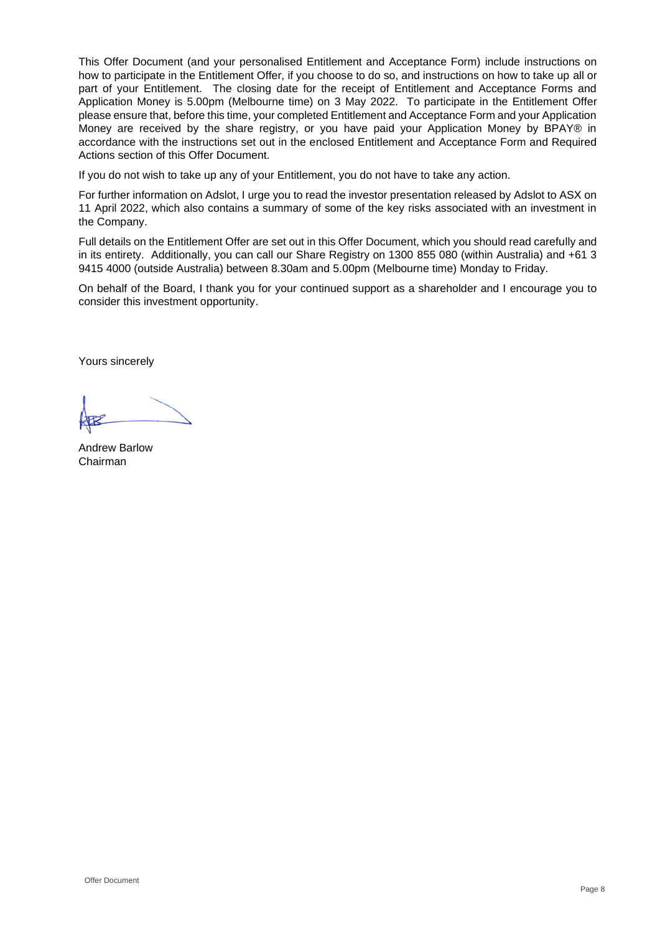This Offer Document (and your personalised Entitlement and Acceptance Form) include instructions on how to participate in the Entitlement Offer, if you choose to do so, and instructions on how to take up all or part of your Entitlement. The closing date for the receipt of Entitlement and Acceptance Forms and Application Money is 5.00pm (Melbourne time) on 3 May 2022. To participate in the Entitlement Offer please ensure that, before this time, your completed Entitlement and Acceptance Form and your Application Money are received by the share registry, or you have paid your Application Money by BPAY® in accordance with the instructions set out in the enclosed Entitlement and Acceptance Form and Required Actions section of this Offer Document.

If you do not wish to take up any of your Entitlement, you do not have to take any action.

For further information on Adslot, I urge you to read the investor presentation released by Adslot to ASX on 11 April 2022, which also contains a summary of some of the key risks associated with an investment in the Company.

Full details on the Entitlement Offer are set out in this Offer Document, which you should read carefully and in its entirety. Additionally, you can call our Share Registry on 1300 855 080 (within Australia) and +61 3 9415 4000 (outside Australia) between 8.30am and 5.00pm (Melbourne time) Monday to Friday.

On behalf of the Board, I thank you for your continued support as a shareholder and I encourage you to consider this investment opportunity.

Yours sincerely

Andrew Barlow Chairman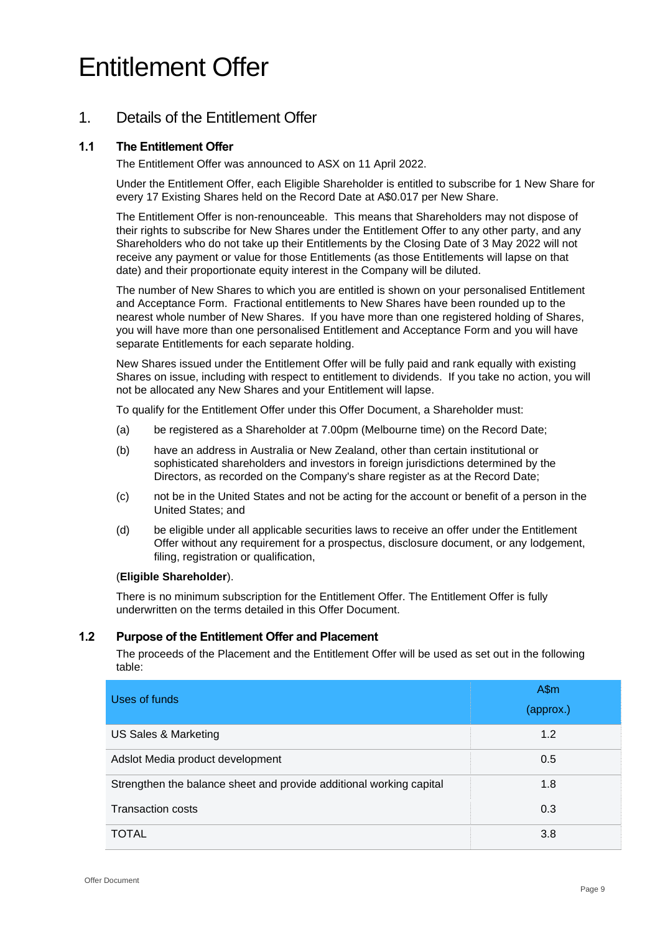# Entitlement Offer

# 1. Details of the Entitlement Offer

# <span id="page-8-0"></span>**1.1 The Entitlement Offer**

The Entitlement Offer was announced to ASX on 11 April 2022.

Under the Entitlement Offer, each Eligible Shareholder is entitled to subscribe for 1 New Share for every 17 Existing Shares held on the Record Date at A\$0.017 per New Share.

The Entitlement Offer is non-renounceable. This means that Shareholders may not dispose of their rights to subscribe for New Shares under the Entitlement Offer to any other party, and any Shareholders who do not take up their Entitlements by the Closing Date of 3 May 2022 will not receive any payment or value for those Entitlements (as those Entitlements will lapse on that date) and their proportionate equity interest in the Company will be diluted.

The number of New Shares to which you are entitled is shown on your personalised Entitlement and Acceptance Form. Fractional entitlements to New Shares have been rounded up to the nearest whole number of New Shares. If you have more than one registered holding of Shares, you will have more than one personalised Entitlement and Acceptance Form and you will have separate Entitlements for each separate holding.

New Shares issued under the Entitlement Offer will be fully paid and rank equally with existing Shares on issue, including with respect to entitlement to dividends. If you take no action, you will not be allocated any New Shares and your Entitlement will lapse.

To qualify for the Entitlement Offer under this Offer Document, a Shareholder must:

- (a) be registered as a Shareholder at 7.00pm (Melbourne time) on the Record Date;
- (b) have an address in Australia or New Zealand, other than certain institutional or sophisticated shareholders and investors in foreign jurisdictions determined by the Directors, as recorded on the Company's share register as at the Record Date;
- (c) not be in the United States and not be acting for the account or benefit of a person in the United States; and
- (d) be eligible under all applicable securities laws to receive an offer under the Entitlement Offer without any requirement for a prospectus, disclosure document, or any lodgement, filing, registration or qualification,

#### (**Eligible Shareholder**).

There is no minimum subscription for the Entitlement Offer. The Entitlement Offer is fully underwritten on the terms detailed in this Offer Document.

### **1.2 Purpose of the Entitlement Offer and Placement**

The proceeds of the Placement and the Entitlement Offer will be used as set out in the following table:

| Uses of funds                                                       | $A\$ m<br>(approx.) |
|---------------------------------------------------------------------|---------------------|
| US Sales & Marketing                                                | 1.2                 |
| Adslot Media product development                                    | 0.5                 |
| Strengthen the balance sheet and provide additional working capital | 1.8                 |
| <b>Transaction costs</b>                                            | 0.3                 |
| <b>TOTAL</b>                                                        | 3.8                 |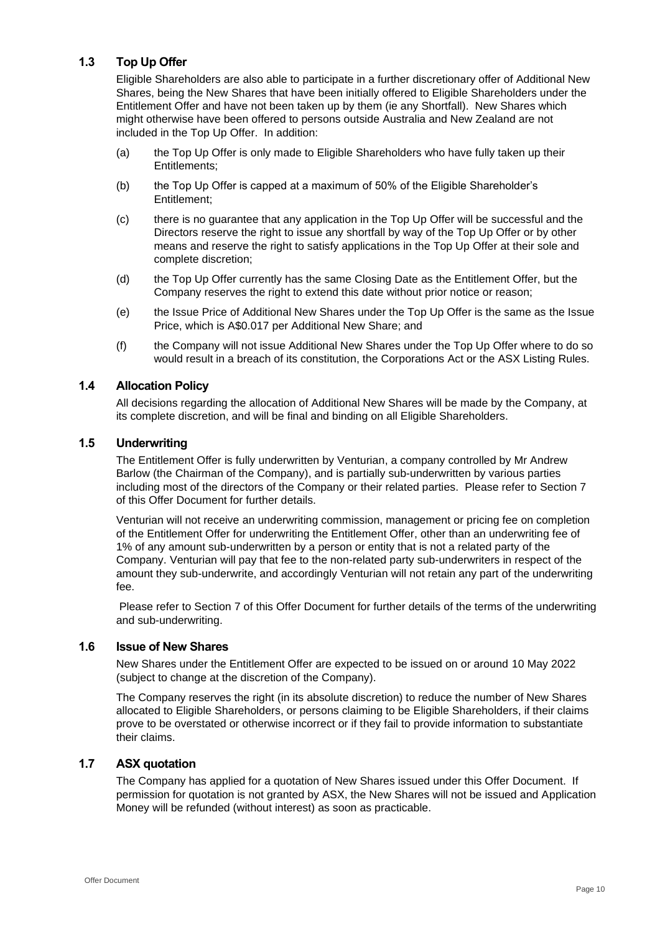# <span id="page-9-0"></span>**1.3 Top Up Offer**

Eligible Shareholders are also able to participate in a further discretionary offer of Additional New Shares, being the New Shares that have been initially offered to Eligible Shareholders under the Entitlement Offer and have not been taken up by them (ie any Shortfall). New Shares which might otherwise have been offered to persons outside Australia and New Zealand are not included in the Top Up Offer. In addition:

- (a) the Top Up Offer is only made to Eligible Shareholders who have fully taken up their Entitlements;
- (b) the Top Up Offer is capped at a maximum of 50% of the Eligible Shareholder's Entitlement;
- (c) there is no guarantee that any application in the Top Up Offer will be successful and the Directors reserve the right to issue any shortfall by way of the Top Up Offer or by other means and reserve the right to satisfy applications in the Top Up Offer at their sole and complete discretion;
- (d) the Top Up Offer currently has the same Closing Date as the Entitlement Offer, but the Company reserves the right to extend this date without prior notice or reason;
- (e) the Issue Price of Additional New Shares under the Top Up Offer is the same as the Issue Price, which is A\$0.017 per Additional New Share; and
- (f) the Company will not issue Additional New Shares under the Top Up Offer where to do so would result in a breach of its constitution, the Corporations Act or the ASX Listing Rules.

## **1.4 Allocation Policy**

All decisions regarding the allocation of Additional New Shares will be made by the Company, at its complete discretion, and will be final and binding on all Eligible Shareholders.

#### **1.5 Underwriting**

The Entitlement Offer is fully underwritten by Venturian, a company controlled by Mr Andrew Barlow (the Chairman of the Company), and is partially sub-underwritten by various parties including most of the directors of the Company or their related parties. Please refer to Section [7](#page-21-0) of this Offer Document for further details.

Venturian will not receive an underwriting commission, management or pricing fee on completion of the Entitlement Offer for underwriting the Entitlement Offer, other than an underwriting fee of 1% of any amount sub-underwritten by a person or entity that is not a related party of the Company. Venturian will pay that fee to the non-related party sub-underwriters in respect of the amount they sub-underwrite, and accordingly Venturian will not retain any part of the underwriting fee.

Please refer to Section [7](#page-21-0) of this Offer Document for further details of the terms of the underwriting and sub-underwriting.

#### **1.6 Issue of New Shares**

New Shares under the Entitlement Offer are expected to be issued on or around 10 May 2022 (subject to change at the discretion of the Company).

The Company reserves the right (in its absolute discretion) to reduce the number of New Shares allocated to Eligible Shareholders, or persons claiming to be Eligible Shareholders, if their claims prove to be overstated or otherwise incorrect or if they fail to provide information to substantiate their claims.

#### **1.7 ASX quotation**

The Company has applied for a quotation of New Shares issued under this Offer Document. If permission for quotation is not granted by ASX, the New Shares will not be issued and Application Money will be refunded (without interest) as soon as practicable.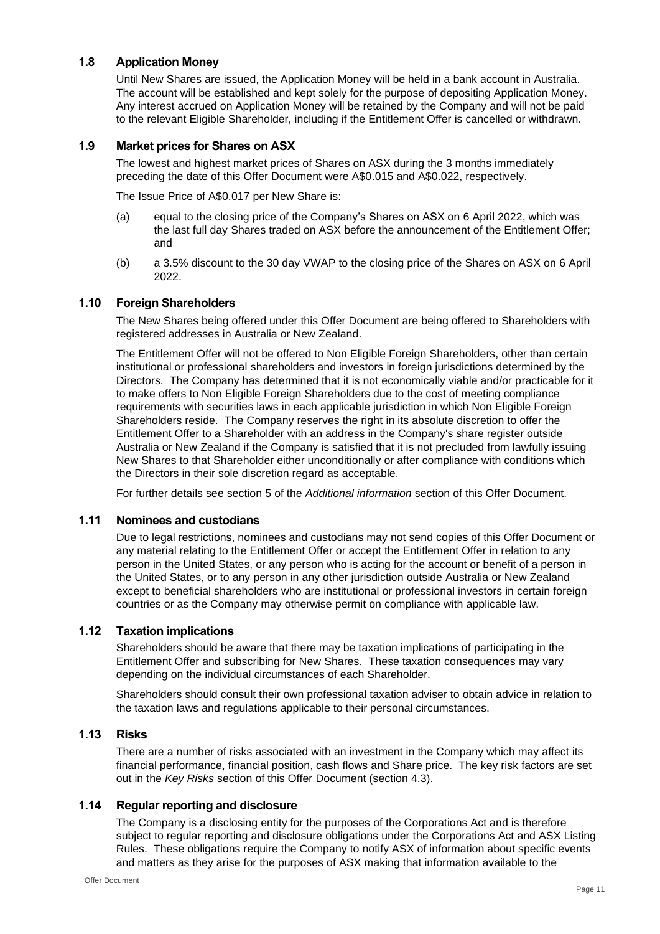# **1.8 Application Money**

Until New Shares are issued, the Application Money will be held in a bank account in Australia. The account will be established and kept solely for the purpose of depositing Application Money. Any interest accrued on Application Money will be retained by the Company and will not be paid to the relevant Eligible Shareholder, including if the Entitlement Offer is cancelled or withdrawn.

#### **1.9 Market prices for Shares on ASX**

The lowest and highest market prices of Shares on ASX during the 3 months immediately preceding the date of this Offer Document were A\$0.015 and A\$0.022, respectively.

The Issue Price of A\$0.017 per New Share is:

- (a) equal to the closing price of the Company's Shares on ASX on 6 April 2022, which was the last full day Shares traded on ASX before the announcement of the Entitlement Offer; and
- (b) a 3.5% discount to the 30 day VWAP to the closing price of the Shares on ASX on 6 April 2022.

#### **1.10 Foreign Shareholders**

The New Shares being offered under this Offer Document are being offered to Shareholders with registered addresses in Australia or New Zealand.

The Entitlement Offer will not be offered to Non Eligible Foreign Shareholders, other than certain institutional or professional shareholders and investors in foreign jurisdictions determined by the Directors. The Company has determined that it is not economically viable and/or practicable for it to make offers to Non Eligible Foreign Shareholders due to the cost of meeting compliance requirements with securities laws in each applicable jurisdiction in which Non Eligible Foreign Shareholders reside. The Company reserves the right in its absolute discretion to offer the Entitlement Offer to a Shareholder with an address in the Company's share register outside Australia or New Zealand if the Company is satisfied that it is not precluded from lawfully issuing New Shares to that Shareholder either unconditionally or after compliance with conditions which the Directors in their sole discretion regard as acceptable.

For further details see section [5](#page-20-0) of the *Additional information* section of this Offer Document.

#### **1.11 Nominees and custodians**

Due to legal restrictions, nominees and custodians may not send copies of this Offer Document or any material relating to the Entitlement Offer or accept the Entitlement Offer in relation to any person in the United States, or any person who is acting for the account or benefit of a person in the United States, or to any person in any other jurisdiction outside Australia or New Zealand except to beneficial shareholders who are institutional or professional investors in certain foreign countries or as the Company may otherwise permit on compliance with applicable law.

#### **1.12 Taxation implications**

Shareholders should be aware that there may be taxation implications of participating in the Entitlement Offer and subscribing for New Shares. These taxation consequences may vary depending on the individual circumstances of each Shareholder.

Shareholders should consult their own professional taxation adviser to obtain advice in relation to the taxation laws and regulations applicable to their personal circumstances.

#### **1.13 Risks**

There are a number of risks associated with an investment in the Company which may affect its financial performance, financial position, cash flows and Share price. The key risk factors are set out in the *Key Risks* section of this Offer Document (section [4.3\)](#page-16-0).

### **1.14 Regular reporting and disclosure**

The Company is a disclosing entity for the purposes of the Corporations Act and is therefore subject to regular reporting and disclosure obligations under the Corporations Act and ASX Listing Rules. These obligations require the Company to notify ASX of information about specific events and matters as they arise for the purposes of ASX making that information available to the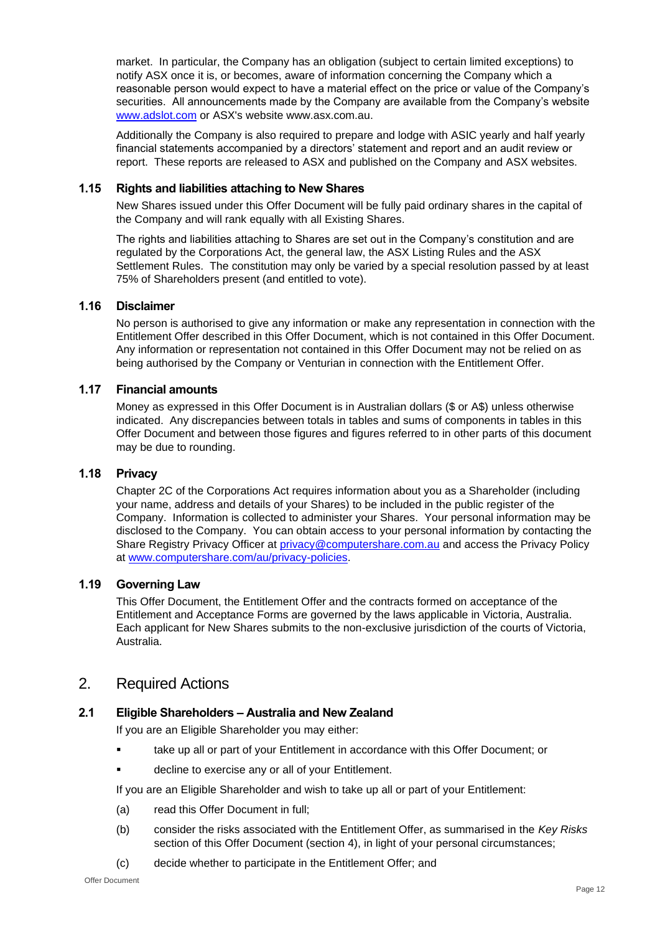market. In particular, the Company has an obligation (subject to certain limited exceptions) to notify ASX once it is, or becomes, aware of information concerning the Company which a reasonable person would expect to have a material effect on the price or value of the Company's securities. All announcements made by the Company are available from the Company's website [www.adslot.com](http://www.adslot.com/) or ASX's website www.asx.com.au.

Additionally the Company is also required to prepare and lodge with ASIC yearly and half yearly financial statements accompanied by a directors' statement and report and an audit review or report. These reports are released to ASX and published on the Company and ASX websites.

#### **1.15 Rights and liabilities attaching to New Shares**

New Shares issued under this Offer Document will be fully paid ordinary shares in the capital of the Company and will rank equally with all Existing Shares.

The rights and liabilities attaching to Shares are set out in the Company's constitution and are regulated by the Corporations Act, the general law, the ASX Listing Rules and the ASX Settlement Rules. The constitution may only be varied by a special resolution passed by at least 75% of Shareholders present (and entitled to vote).

#### **1.16 Disclaimer**

No person is authorised to give any information or make any representation in connection with the Entitlement Offer described in this Offer Document, which is not contained in this Offer Document. Any information or representation not contained in this Offer Document may not be relied on as being authorised by the Company or Venturian in connection with the Entitlement Offer.

#### **1.17 Financial amounts**

Money as expressed in this Offer Document is in Australian dollars (\$ or A\$) unless otherwise indicated. Any discrepancies between totals in tables and sums of components in tables in this Offer Document and between those figures and figures referred to in other parts of this document may be due to rounding.

#### **1.18 Privacy**

Chapter 2C of the Corporations Act requires information about you as a Shareholder (including your name, address and details of your Shares) to be included in the public register of the Company. Information is collected to administer your Shares. Your personal information may be disclosed to the Company. You can obtain access to your personal information by contacting the Share Registry Privacy Officer at [privacy@computershare.com.au](mailto:privacy@computershare.com.au) and access the Privacy Policy at [www.computershare.com/au/privacy-policies.](http://www.computershare.com/au/privacy-policies)

#### **1.19 Governing Law**

This Offer Document, the Entitlement Offer and the contracts formed on acceptance of the Entitlement and Acceptance Forms are governed by the laws applicable in Victoria, Australia. Each applicant for New Shares submits to the non-exclusive jurisdiction of the courts of Victoria, Australia.

# 2. Required Actions

# **2.1 Eligible Shareholders – Australia and New Zealand**

If you are an Eligible Shareholder you may either:

- take up all or part of your Entitlement in accordance with this Offer Document; or
- decline to exercise any or all of your Entitlement.

If you are an Eligible Shareholder and wish to take up all or part of your Entitlement:

- (a) read this Offer Document in full;
- (b) consider the risks associated with the Entitlement Offer, as summarised in the *Key Risks* section of this Offer Document (section [4\)](#page-16-1), in light of your personal circumstances;
- (c) decide whether to participate in the Entitlement Offer; and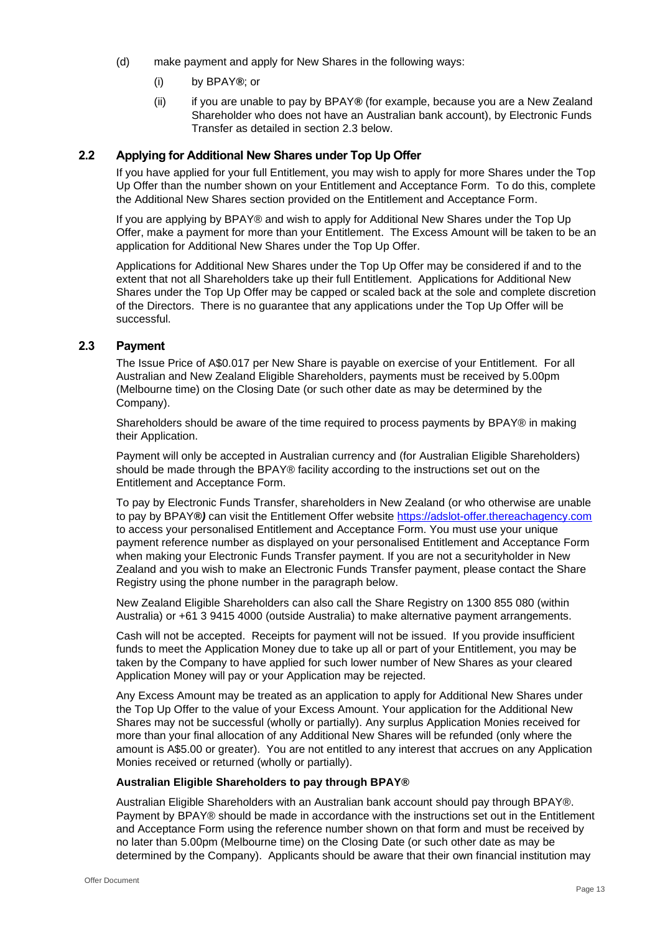- (d) make payment and apply for New Shares in the following ways:
	- (i) by BPAY*®*; or
	- (ii) if you are unable to pay by BPAY*®* (for example, because you are a New Zealand Shareholder who does not have an Australian bank account), by Electronic Funds Transfer as detailed in section [2.3](#page-12-0) below.

### **2.2 Applying for Additional New Shares under Top Up Offer**

If you have applied for your full Entitlement, you may wish to apply for more Shares under the Top Up Offer than the number shown on your Entitlement and Acceptance Form. To do this, complete the Additional New Shares section provided on the Entitlement and Acceptance Form.

If you are applying by BPAY® and wish to apply for Additional New Shares under the Top Up Offer, make a payment for more than your Entitlement. The Excess Amount will be taken to be an application for Additional New Shares under the Top Up Offer.

Applications for Additional New Shares under the Top Up Offer may be considered if and to the extent that not all Shareholders take up their full Entitlement. Applications for Additional New Shares under the Top Up Offer may be capped or scaled back at the sole and complete discretion of the Directors. There is no guarantee that any applications under the Top Up Offer will be successful.

#### <span id="page-12-0"></span>**2.3 Payment**

The Issue Price of A\$0.017 per New Share is payable on exercise of your Entitlement. For all Australian and New Zealand Eligible Shareholders, payments must be received by 5.00pm (Melbourne time) on the Closing Date (or such other date as may be determined by the Company).

Shareholders should be aware of the time required to process payments by BPAY® in making their Application.

Payment will only be accepted in Australian currency and (for Australian Eligible Shareholders) should be made through the BPAY® facility according to the instructions set out on the Entitlement and Acceptance Form.

To pay by Electronic Funds Transfer, shareholders in New Zealand (or who otherwise are unable to pay by BPAY*®)* can visit the Entitlement Offer website [https://adslot-offer.thereachagency.com](https://adslot-offer.thereachagency.com/) to access your personalised Entitlement and Acceptance Form. You must use your unique payment reference number as displayed on your personalised Entitlement and Acceptance Form when making your Electronic Funds Transfer payment. If you are not a securityholder in New Zealand and you wish to make an Electronic Funds Transfer payment, please contact the Share Registry using the phone number in the paragraph below.

New Zealand Eligible Shareholders can also call the Share Registry on 1300 855 080 (within Australia) or +61 3 9415 4000 (outside Australia) to make alternative payment arrangements.

Cash will not be accepted. Receipts for payment will not be issued. If you provide insufficient funds to meet the Application Money due to take up all or part of your Entitlement, you may be taken by the Company to have applied for such lower number of New Shares as your cleared Application Money will pay or your Application may be rejected.

Any Excess Amount may be treated as an application to apply for Additional New Shares under the Top Up Offer to the value of your Excess Amount. Your application for the Additional New Shares may not be successful (wholly or partially). Any surplus Application Monies received for more than your final allocation of any Additional New Shares will be refunded (only where the amount is A\$5.00 or greater). You are not entitled to any interest that accrues on any Application Monies received or returned (wholly or partially).

#### **Australian Eligible Shareholders to pay through BPAY®**

Australian Eligible Shareholders with an Australian bank account should pay through BPAY®. Payment by BPAY® should be made in accordance with the instructions set out in the Entitlement and Acceptance Form using the reference number shown on that form and must be received by no later than 5.00pm (Melbourne time) on the Closing Date (or such other date as may be determined by the Company). Applicants should be aware that their own financial institution may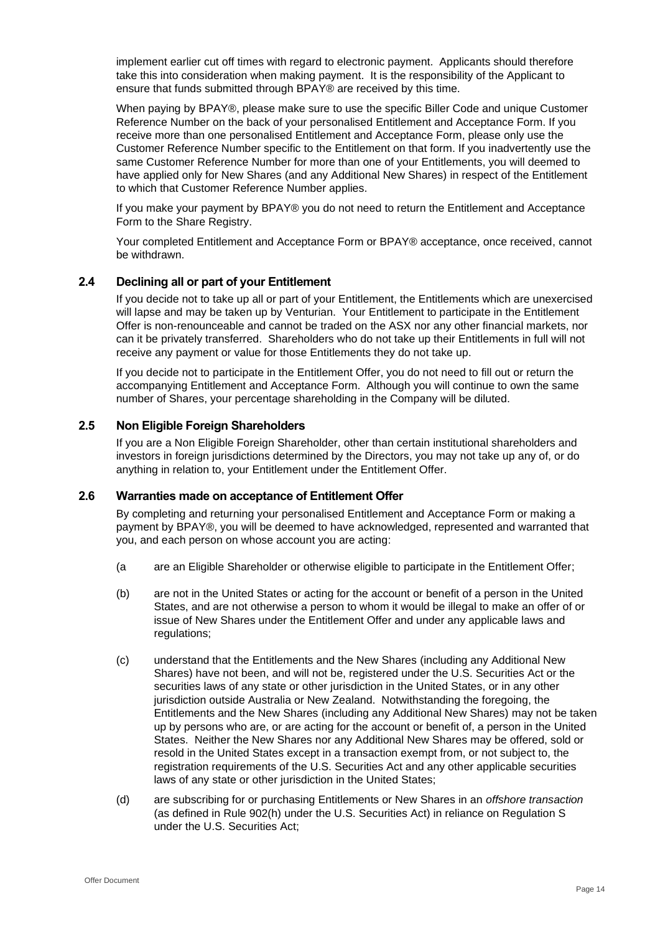implement earlier cut off times with regard to electronic payment. Applicants should therefore take this into consideration when making payment. It is the responsibility of the Applicant to ensure that funds submitted through BPAY® are received by this time.

When paying by BPAY®, please make sure to use the specific Biller Code and unique Customer Reference Number on the back of your personalised Entitlement and Acceptance Form. If you receive more than one personalised Entitlement and Acceptance Form, please only use the Customer Reference Number specific to the Entitlement on that form. If you inadvertently use the same Customer Reference Number for more than one of your Entitlements, you will deemed to have applied only for New Shares (and any Additional New Shares) in respect of the Entitlement to which that Customer Reference Number applies.

If you make your payment by BPAY® you do not need to return the Entitlement and Acceptance Form to the Share Registry.

Your completed Entitlement and Acceptance Form or BPAY® acceptance, once received, cannot be withdrawn.

#### **2.4 Declining all or part of your Entitlement**

If you decide not to take up all or part of your Entitlement, the Entitlements which are unexercised will lapse and may be taken up by Venturian. Your Entitlement to participate in the Entitlement Offer is non-renounceable and cannot be traded on the ASX nor any other financial markets, nor can it be privately transferred. Shareholders who do not take up their Entitlements in full will not receive any payment or value for those Entitlements they do not take up.

If you decide not to participate in the Entitlement Offer, you do not need to fill out or return the accompanying Entitlement and Acceptance Form. Although you will continue to own the same number of Shares, your percentage shareholding in the Company will be diluted.

#### **2.5 Non Eligible Foreign Shareholders**

If you are a Non Eligible Foreign Shareholder, other than certain institutional shareholders and investors in foreign jurisdictions determined by the Directors, you may not take up any of, or do anything in relation to, your Entitlement under the Entitlement Offer.

#### **2.6 Warranties made on acceptance of Entitlement Offer**

By completing and returning your personalised Entitlement and Acceptance Form or making a payment by BPAY®, you will be deemed to have acknowledged, represented and warranted that you, and each person on whose account you are acting:

- (a are an Eligible Shareholder or otherwise eligible to participate in the Entitlement Offer;
- (b) are not in the United States or acting for the account or benefit of a person in the United States, and are not otherwise a person to whom it would be illegal to make an offer of or issue of New Shares under the Entitlement Offer and under any applicable laws and regulations;
- (c) understand that the Entitlements and the New Shares (including any Additional New Shares) have not been, and will not be, registered under the U.S. Securities Act or the securities laws of any state or other jurisdiction in the United States, or in any other jurisdiction outside Australia or New Zealand. Notwithstanding the foregoing, the Entitlements and the New Shares (including any Additional New Shares) may not be taken up by persons who are, or are acting for the account or benefit of, a person in the United States. Neither the New Shares nor any Additional New Shares may be offered, sold or resold in the United States except in a transaction exempt from, or not subject to, the registration requirements of the U.S. Securities Act and any other applicable securities laws of any state or other jurisdiction in the United States;
- (d) are subscribing for or purchasing Entitlements or New Shares in an *offshore transaction* (as defined in Rule 902(h) under the U.S. Securities Act) in reliance on Regulation S under the U.S. Securities Act;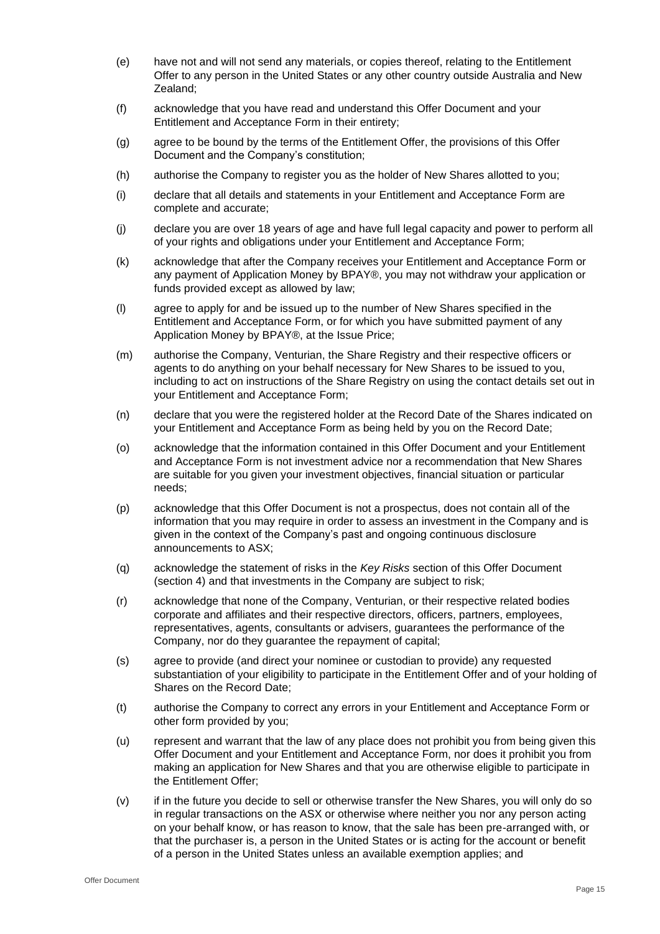- (e) have not and will not send any materials, or copies thereof, relating to the Entitlement Offer to any person in the United States or any other country outside Australia and New Zealand;
- (f) acknowledge that you have read and understand this Offer Document and your Entitlement and Acceptance Form in their entirety;
- (g) agree to be bound by the terms of the Entitlement Offer, the provisions of this Offer Document and the Company's constitution;
- (h) authorise the Company to register you as the holder of New Shares allotted to you;
- (i) declare that all details and statements in your Entitlement and Acceptance Form are complete and accurate;
- (j) declare you are over 18 years of age and have full legal capacity and power to perform all of your rights and obligations under your Entitlement and Acceptance Form;
- (k) acknowledge that after the Company receives your Entitlement and Acceptance Form or any payment of Application Money by BPAY®, you may not withdraw your application or funds provided except as allowed by law;
- (l) agree to apply for and be issued up to the number of New Shares specified in the Entitlement and Acceptance Form, or for which you have submitted payment of any Application Money by BPAY®, at the Issue Price;
- (m) authorise the Company, Venturian, the Share Registry and their respective officers or agents to do anything on your behalf necessary for New Shares to be issued to you, including to act on instructions of the Share Registry on using the contact details set out in your Entitlement and Acceptance Form;
- (n) declare that you were the registered holder at the Record Date of the Shares indicated on your Entitlement and Acceptance Form as being held by you on the Record Date;
- (o) acknowledge that the information contained in this Offer Document and your Entitlement and Acceptance Form is not investment advice nor a recommendation that New Shares are suitable for you given your investment objectives, financial situation or particular needs;
- (p) acknowledge that this Offer Document is not a prospectus, does not contain all of the information that you may require in order to assess an investment in the Company and is given in the context of the Company's past and ongoing continuous disclosure announcements to ASX;
- (q) acknowledge the statement of risks in the *Key Risks* section of this Offer Document (section [4\)](#page-16-1) and that investments in the Company are subject to risk;
- (r) acknowledge that none of the Company, Venturian, or their respective related bodies corporate and affiliates and their respective directors, officers, partners, employees, representatives, agents, consultants or advisers, guarantees the performance of the Company, nor do they guarantee the repayment of capital;
- (s) agree to provide (and direct your nominee or custodian to provide) any requested substantiation of your eligibility to participate in the Entitlement Offer and of your holding of Shares on the Record Date;
- (t) authorise the Company to correct any errors in your Entitlement and Acceptance Form or other form provided by you;
- (u) represent and warrant that the law of any place does not prohibit you from being given this Offer Document and your Entitlement and Acceptance Form, nor does it prohibit you from making an application for New Shares and that you are otherwise eligible to participate in the Entitlement Offer;
- (v) if in the future you decide to sell or otherwise transfer the New Shares, you will only do so in regular transactions on the ASX or otherwise where neither you nor any person acting on your behalf know, or has reason to know, that the sale has been pre-arranged with, or that the purchaser is, a person in the United States or is acting for the account or benefit of a person in the United States unless an available exemption applies; and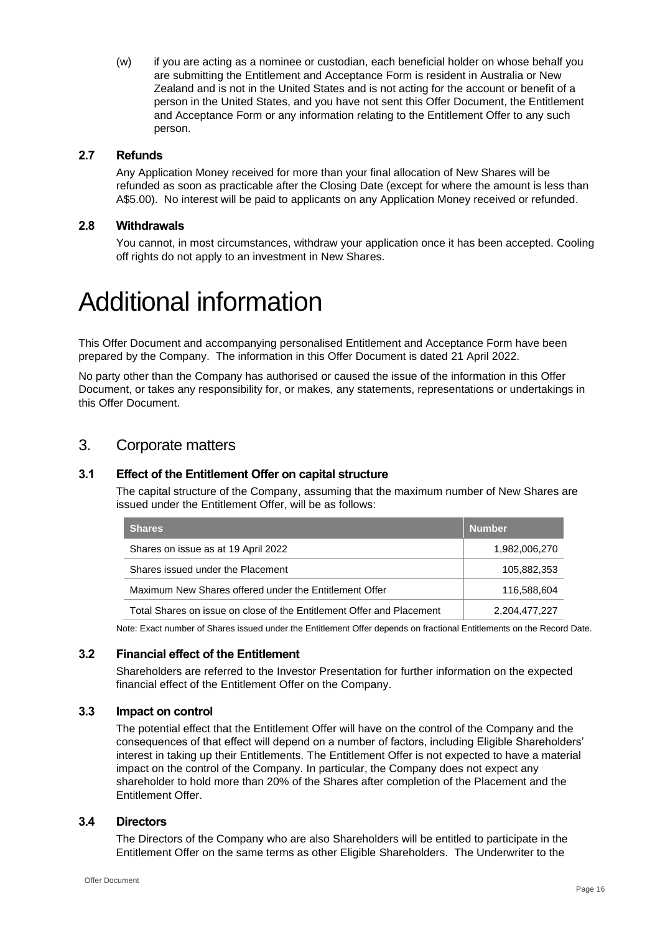(w) if you are acting as a nominee or custodian, each beneficial holder on whose behalf you are submitting the Entitlement and Acceptance Form is resident in Australia or New Zealand and is not in the United States and is not acting for the account or benefit of a person in the United States, and you have not sent this Offer Document, the Entitlement and Acceptance Form or any information relating to the Entitlement Offer to any such person.

#### **2.7 Refunds**

Any Application Money received for more than your final allocation of New Shares will be refunded as soon as practicable after the Closing Date (except for where the amount is less than A\$5.00). No interest will be paid to applicants on any Application Money received or refunded.

#### **2.8 Withdrawals**

You cannot, in most circumstances, withdraw your application once it has been accepted. Cooling off rights do not apply to an investment in New Shares.

# Additional information

This Offer Document and accompanying personalised Entitlement and Acceptance Form have been prepared by the Company. The information in this Offer Document is dated 21 April 2022.

No party other than the Company has authorised or caused the issue of the information in this Offer Document, or takes any responsibility for, or makes, any statements, representations or undertakings in this Offer Document.

# 3. Corporate matters

### **3.1 Effect of the Entitlement Offer on capital structure**

The capital structure of the Company, assuming that the maximum number of New Shares are issued under the Entitlement Offer, will be as follows:

| Shares                                                                | <b>Number</b> |
|-----------------------------------------------------------------------|---------------|
| Shares on issue as at 19 April 2022                                   | 1,982,006,270 |
| Shares issued under the Placement                                     | 105,882,353   |
| Maximum New Shares offered under the Entitlement Offer                | 116,588,604   |
| Total Shares on issue on close of the Entitlement Offer and Placement | 2,204,477,227 |

Note: Exact number of Shares issued under the Entitlement Offer depends on fractional Entitlements on the Record Date.

#### **3.2 Financial effect of the Entitlement**

Shareholders are referred to the Investor Presentation for further information on the expected financial effect of the Entitlement Offer on the Company.

#### **3.3 Impact on control**

The potential effect that the Entitlement Offer will have on the control of the Company and the consequences of that effect will depend on a number of factors, including Eligible Shareholders' interest in taking up their Entitlements. The Entitlement Offer is not expected to have a material impact on the control of the Company. In particular, the Company does not expect any shareholder to hold more than 20% of the Shares after completion of the Placement and the Entitlement Offer.

#### **3.4 Directors**

The Directors of the Company who are also Shareholders will be entitled to participate in the Entitlement Offer on the same terms as other Eligible Shareholders. The Underwriter to the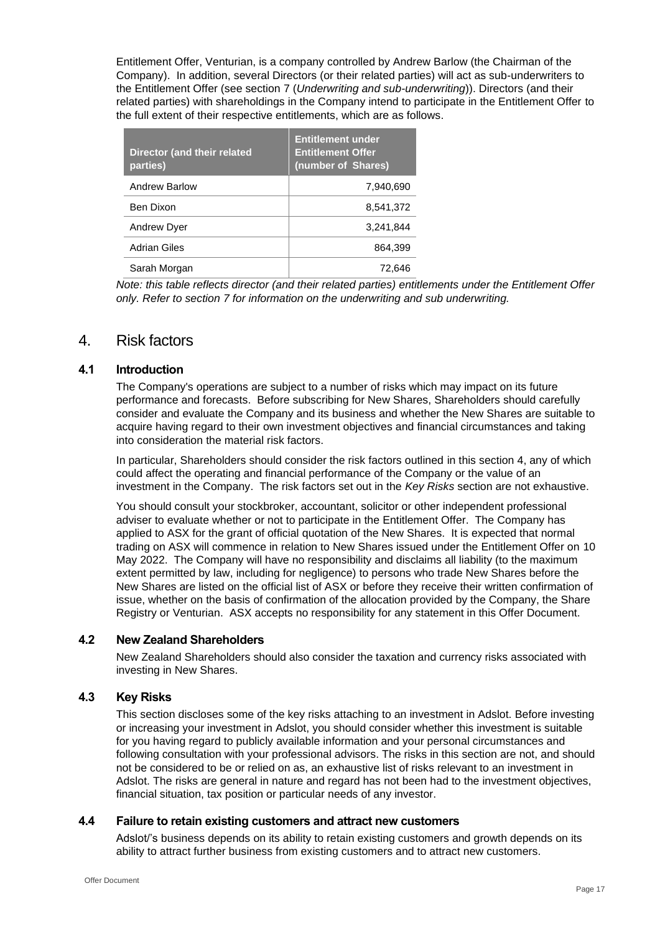Entitlement Offer, Venturian, is a company controlled by Andrew Barlow (the Chairman of the Company). In addition, several Directors (or their related parties) will act as sub-underwriters to the Entitlement Offer (see section [7](#page-21-0) (*Underwriting and sub-underwriting*)). Directors (and their related parties) with shareholdings in the Company intend to participate in the Entitlement Offer to the full extent of their respective entitlements, which are as follows.

| <b>Director (and their related</b><br>parties) | <b>Entitlement under</b><br><b>Entitlement Offer</b><br>(number of Shares) |
|------------------------------------------------|----------------------------------------------------------------------------|
| <b>Andrew Barlow</b>                           | 7.940.690                                                                  |
| Ben Dixon                                      | 8,541,372                                                                  |
| <b>Andrew Dyer</b>                             | 3,241,844                                                                  |
| Adrian Giles                                   | 864,399                                                                    |
| Sarah Morgan                                   | 72.646                                                                     |

*Note: this table reflects director (and their related parties) entitlements under the Entitlement Offer only. Refer to section [7](#page-21-0) for information on the underwriting and sub underwriting.*

# <span id="page-16-1"></span>4. Risk factors

#### **4.1 Introduction**

The Company's operations are subject to a number of risks which may impact on its future performance and forecasts. Before subscribing for New Shares, Shareholders should carefully consider and evaluate the Company and its business and whether the New Shares are suitable to acquire having regard to their own investment objectives and financial circumstances and taking into consideration the material risk factors.

In particular, Shareholders should consider the risk factors outlined in this section [4,](#page-16-1) any of which could affect the operating and financial performance of the Company or the value of an investment in the Company. The risk factors set out in the *Key Risks* section are not exhaustive.

You should consult your stockbroker, accountant, solicitor or other independent professional adviser to evaluate whether or not to participate in the Entitlement Offer. The Company has applied to ASX for the grant of official quotation of the New Shares. It is expected that normal trading on ASX will commence in relation to New Shares issued under the Entitlement Offer on 10 May 2022. The Company will have no responsibility and disclaims all liability (to the maximum extent permitted by law, including for negligence) to persons who trade New Shares before the New Shares are listed on the official list of ASX or before they receive their written confirmation of issue, whether on the basis of confirmation of the allocation provided by the Company, the Share Registry or Venturian. ASX accepts no responsibility for any statement in this Offer Document.

#### **4.2 New Zealand Shareholders**

New Zealand Shareholders should also consider the taxation and currency risks associated with investing in New Shares.

### <span id="page-16-0"></span>**4.3 Key Risks**

This section discloses some of the key risks attaching to an investment in Adslot. Before investing or increasing your investment in Adslot, you should consider whether this investment is suitable for you having regard to publicly available information and your personal circumstances and following consultation with your professional advisors. The risks in this section are not, and should not be considered to be or relied on as, an exhaustive list of risks relevant to an investment in Adslot. The risks are general in nature and regard has not been had to the investment objectives, financial situation, tax position or particular needs of any investor.

#### **4.4 Failure to retain existing customers and attract new customers**

Adslot/'s business depends on its ability to retain existing customers and growth depends on its ability to attract further business from existing customers and to attract new customers.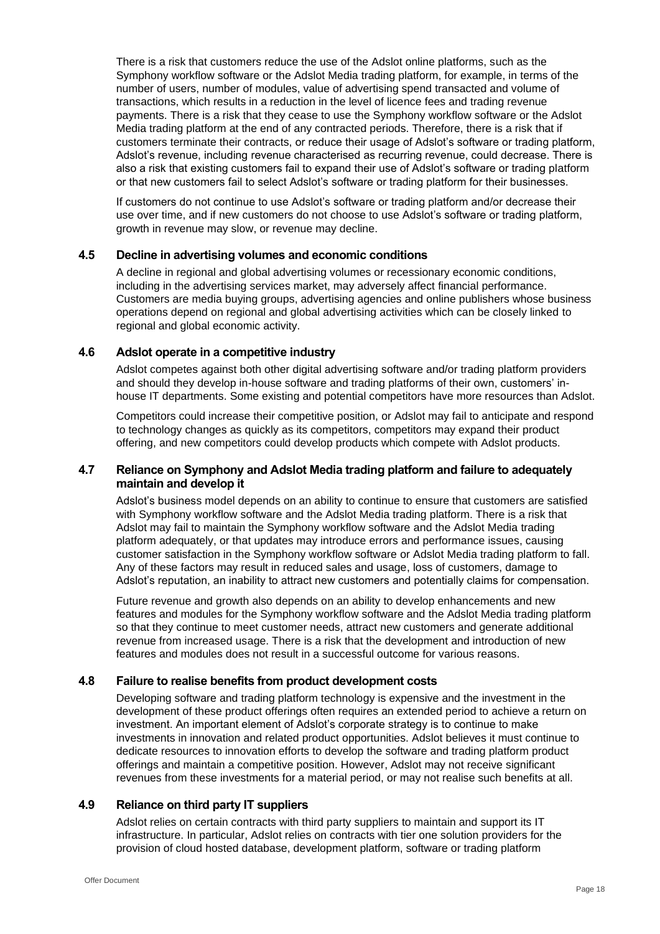There is a risk that customers reduce the use of the Adslot online platforms, such as the Symphony workflow software or the Adslot Media trading platform, for example, in terms of the number of users, number of modules, value of advertising spend transacted and volume of transactions, which results in a reduction in the level of licence fees and trading revenue payments. There is a risk that they cease to use the Symphony workflow software or the Adslot Media trading platform at the end of any contracted periods. Therefore, there is a risk that if customers terminate their contracts, or reduce their usage of Adslot's software or trading platform, Adslot's revenue, including revenue characterised as recurring revenue, could decrease. There is also a risk that existing customers fail to expand their use of Adslot's software or trading platform or that new customers fail to select Adslot's software or trading platform for their businesses.

If customers do not continue to use Adslot's software or trading platform and/or decrease their use over time, and if new customers do not choose to use Adslot's software or trading platform, growth in revenue may slow, or revenue may decline.

#### **4.5 Decline in advertising volumes and economic conditions**

A decline in regional and global advertising volumes or recessionary economic conditions, including in the advertising services market, may adversely affect financial performance. Customers are media buying groups, advertising agencies and online publishers whose business operations depend on regional and global advertising activities which can be closely linked to regional and global economic activity.

#### **4.6 Adslot operate in a competitive industry**

Adslot competes against both other digital advertising software and/or trading platform providers and should they develop in-house software and trading platforms of their own, customers' inhouse IT departments. Some existing and potential competitors have more resources than Adslot.

Competitors could increase their competitive position, or Adslot may fail to anticipate and respond to technology changes as quickly as its competitors, competitors may expand their product offering, and new competitors could develop products which compete with Adslot products.

### **4.7 Reliance on Symphony and Adslot Media trading platform and failure to adequately maintain and develop it**

Adslot's business model depends on an ability to continue to ensure that customers are satisfied with Symphony workflow software and the Adslot Media trading platform. There is a risk that Adslot may fail to maintain the Symphony workflow software and the Adslot Media trading platform adequately, or that updates may introduce errors and performance issues, causing customer satisfaction in the Symphony workflow software or Adslot Media trading platform to fall. Any of these factors may result in reduced sales and usage, loss of customers, damage to Adslot's reputation, an inability to attract new customers and potentially claims for compensation.

Future revenue and growth also depends on an ability to develop enhancements and new features and modules for the Symphony workflow software and the Adslot Media trading platform so that they continue to meet customer needs, attract new customers and generate additional revenue from increased usage. There is a risk that the development and introduction of new features and modules does not result in a successful outcome for various reasons.

#### **4.8 Failure to realise benefits from product development costs**

Developing software and trading platform technology is expensive and the investment in the development of these product offerings often requires an extended period to achieve a return on investment. An important element of Adslot's corporate strategy is to continue to make investments in innovation and related product opportunities. Adslot believes it must continue to dedicate resources to innovation efforts to develop the software and trading platform product offerings and maintain a competitive position. However, Adslot may not receive significant revenues from these investments for a material period, or may not realise such benefits at all.

#### **4.9 Reliance on third party IT suppliers**

Adslot relies on certain contracts with third party suppliers to maintain and support its IT infrastructure. In particular, Adslot relies on contracts with tier one solution providers for the provision of cloud hosted database, development platform, software or trading platform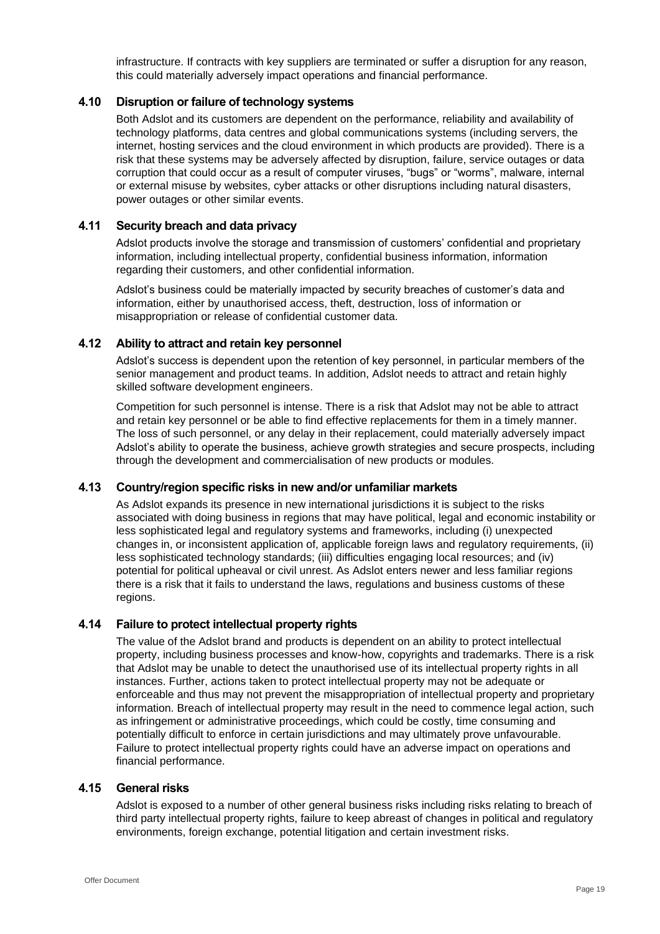infrastructure. If contracts with key suppliers are terminated or suffer a disruption for any reason, this could materially adversely impact operations and financial performance.

#### **4.10 Disruption or failure of technology systems**

Both Adslot and its customers are dependent on the performance, reliability and availability of technology platforms, data centres and global communications systems (including servers, the internet, hosting services and the cloud environment in which products are provided). There is a risk that these systems may be adversely affected by disruption, failure, service outages or data corruption that could occur as a result of computer viruses, "bugs" or "worms", malware, internal or external misuse by websites, cyber attacks or other disruptions including natural disasters, power outages or other similar events.

#### **4.11 Security breach and data privacy**

Adslot products involve the storage and transmission of customers' confidential and proprietary information, including intellectual property, confidential business information, information regarding their customers, and other confidential information.

Adslot's business could be materially impacted by security breaches of customer's data and information, either by unauthorised access, theft, destruction, loss of information or misappropriation or release of confidential customer data.

# **4.12 Ability to attract and retain key personnel**

Adslot's success is dependent upon the retention of key personnel, in particular members of the senior management and product teams. In addition, Adslot needs to attract and retain highly skilled software development engineers.

Competition for such personnel is intense. There is a risk that Adslot may not be able to attract and retain key personnel or be able to find effective replacements for them in a timely manner. The loss of such personnel, or any delay in their replacement, could materially adversely impact Adslot's ability to operate the business, achieve growth strategies and secure prospects, including through the development and commercialisation of new products or modules.

#### **4.13 Country/region specific risks in new and/or unfamiliar markets**

As Adslot expands its presence in new international jurisdictions it is subject to the risks associated with doing business in regions that may have political, legal and economic instability or less sophisticated legal and regulatory systems and frameworks, including (i) unexpected changes in, or inconsistent application of, applicable foreign laws and regulatory requirements, (ii) less sophisticated technology standards; (iii) difficulties engaging local resources; and (iv) potential for political upheaval or civil unrest. As Adslot enters newer and less familiar regions there is a risk that it fails to understand the laws, regulations and business customs of these regions.

#### **4.14 Failure to protect intellectual property rights**

The value of the Adslot brand and products is dependent on an ability to protect intellectual property, including business processes and know-how, copyrights and trademarks. There is a risk that Adslot may be unable to detect the unauthorised use of its intellectual property rights in all instances. Further, actions taken to protect intellectual property may not be adequate or enforceable and thus may not prevent the misappropriation of intellectual property and proprietary information. Breach of intellectual property may result in the need to commence legal action, such as infringement or administrative proceedings, which could be costly, time consuming and potentially difficult to enforce in certain jurisdictions and may ultimately prove unfavourable. Failure to protect intellectual property rights could have an adverse impact on operations and financial performance.

#### **4.15 General risks**

Adslot is exposed to a number of other general business risks including risks relating to breach of third party intellectual property rights, failure to keep abreast of changes in political and regulatory environments, foreign exchange, potential litigation and certain investment risks.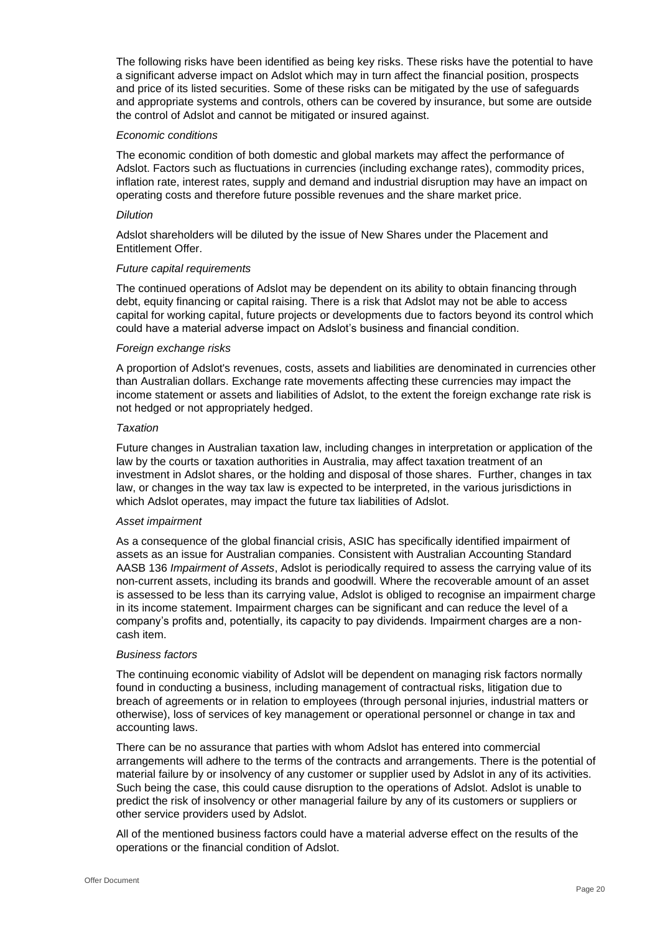The following risks have been identified as being key risks. These risks have the potential to have a significant adverse impact on Adslot which may in turn affect the financial position, prospects and price of its listed securities. Some of these risks can be mitigated by the use of safeguards and appropriate systems and controls, others can be covered by insurance, but some are outside the control of Adslot and cannot be mitigated or insured against.

#### *Economic conditions*

The economic condition of both domestic and global markets may affect the performance of Adslot. Factors such as fluctuations in currencies (including exchange rates), commodity prices, inflation rate, interest rates, supply and demand and industrial disruption may have an impact on operating costs and therefore future possible revenues and the share market price.

#### *Dilution*

Adslot shareholders will be diluted by the issue of New Shares under the Placement and Entitlement Offer.

#### *Future capital requirements*

The continued operations of Adslot may be dependent on its ability to obtain financing through debt, equity financing or capital raising. There is a risk that Adslot may not be able to access capital for working capital, future projects or developments due to factors beyond its control which could have a material adverse impact on Adslot's business and financial condition.

#### *Foreign exchange risks*

A proportion of Adslot's revenues, costs, assets and liabilities are denominated in currencies other than Australian dollars. Exchange rate movements affecting these currencies may impact the income statement or assets and liabilities of Adslot, to the extent the foreign exchange rate risk is not hedged or not appropriately hedged.

#### *Taxation*

Future changes in Australian taxation law, including changes in interpretation or application of the law by the courts or taxation authorities in Australia, may affect taxation treatment of an investment in Adslot shares, or the holding and disposal of those shares. Further, changes in tax law, or changes in the way tax law is expected to be interpreted, in the various jurisdictions in which Adslot operates, may impact the future tax liabilities of Adslot.

#### *Asset impairment*

As a consequence of the global financial crisis, ASIC has specifically identified impairment of assets as an issue for Australian companies. Consistent with Australian Accounting Standard AASB 136 *Impairment of Assets*, Adslot is periodically required to assess the carrying value of its non-current assets, including its brands and goodwill. Where the recoverable amount of an asset is assessed to be less than its carrying value, Adslot is obliged to recognise an impairment charge in its income statement. Impairment charges can be significant and can reduce the level of a company's profits and, potentially, its capacity to pay dividends. Impairment charges are a noncash item.

#### *Business factors*

The continuing economic viability of Adslot will be dependent on managing risk factors normally found in conducting a business, including management of contractual risks, litigation due to breach of agreements or in relation to employees (through personal injuries, industrial matters or otherwise), loss of services of key management or operational personnel or change in tax and accounting laws.

There can be no assurance that parties with whom Adslot has entered into commercial arrangements will adhere to the terms of the contracts and arrangements. There is the potential of material failure by or insolvency of any customer or supplier used by Adslot in any of its activities. Such being the case, this could cause disruption to the operations of Adslot. Adslot is unable to predict the risk of insolvency or other managerial failure by any of its customers or suppliers or other service providers used by Adslot.

All of the mentioned business factors could have a material adverse effect on the results of the operations or the financial condition of Adslot.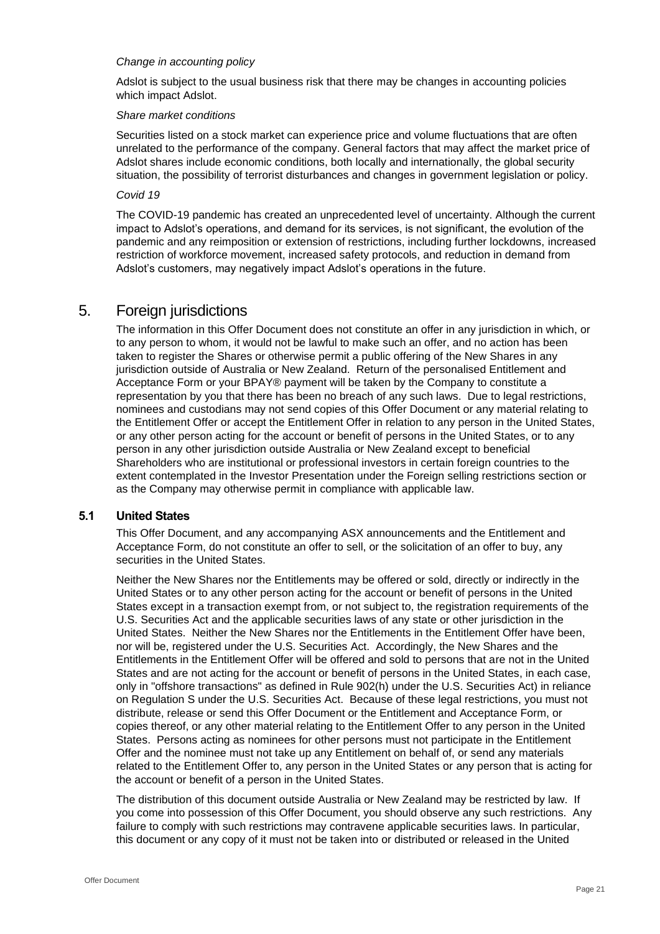#### *Change in accounting policy*

Adslot is subject to the usual business risk that there may be changes in accounting policies which impact Adslot.

#### *Share market conditions*

Securities listed on a stock market can experience price and volume fluctuations that are often unrelated to the performance of the company. General factors that may affect the market price of Adslot shares include economic conditions, both locally and internationally, the global security situation, the possibility of terrorist disturbances and changes in government legislation or policy.

#### *Covid 19*

The COVID-19 pandemic has created an unprecedented level of uncertainty. Although the current impact to Adslot's operations, and demand for its services, is not significant, the evolution of the pandemic and any reimposition or extension of restrictions, including further lockdowns, increased restriction of workforce movement, increased safety protocols, and reduction in demand from Adslot's customers, may negatively impact Adslot's operations in the future.

# <span id="page-20-0"></span>5. Foreign jurisdictions

The information in this Offer Document does not constitute an offer in any jurisdiction in which, or to any person to whom, it would not be lawful to make such an offer, and no action has been taken to register the Shares or otherwise permit a public offering of the New Shares in any jurisdiction outside of Australia or New Zealand. Return of the personalised Entitlement and Acceptance Form or your BPAY® payment will be taken by the Company to constitute a representation by you that there has been no breach of any such laws. Due to legal restrictions, nominees and custodians may not send copies of this Offer Document or any material relating to the Entitlement Offer or accept the Entitlement Offer in relation to any person in the United States, or any other person acting for the account or benefit of persons in the United States, or to any person in any other jurisdiction outside Australia or New Zealand except to beneficial Shareholders who are institutional or professional investors in certain foreign countries to the extent contemplated in the Investor Presentation under the Foreign selling restrictions section or as the Company may otherwise permit in compliance with applicable law.

#### **5.1 United States**

This Offer Document, and any accompanying ASX announcements and the Entitlement and Acceptance Form, do not constitute an offer to sell, or the solicitation of an offer to buy, any securities in the United States.

Neither the New Shares nor the Entitlements may be offered or sold, directly or indirectly in the United States or to any other person acting for the account or benefit of persons in the United States except in a transaction exempt from, or not subject to, the registration requirements of the U.S. Securities Act and the applicable securities laws of any state or other jurisdiction in the United States. Neither the New Shares nor the Entitlements in the Entitlement Offer have been, nor will be, registered under the U.S. Securities Act. Accordingly, the New Shares and the Entitlements in the Entitlement Offer will be offered and sold to persons that are not in the United States and are not acting for the account or benefit of persons in the United States, in each case, only in "offshore transactions" as defined in Rule 902(h) under the U.S. Securities Act) in reliance on Regulation S under the U.S. Securities Act. Because of these legal restrictions, you must not distribute, release or send this Offer Document or the Entitlement and Acceptance Form, or copies thereof, or any other material relating to the Entitlement Offer to any person in the United States. Persons acting as nominees for other persons must not participate in the Entitlement Offer and the nominee must not take up any Entitlement on behalf of, or send any materials related to the Entitlement Offer to, any person in the United States or any person that is acting for the account or benefit of a person in the United States.

The distribution of this document outside Australia or New Zealand may be restricted by law. If you come into possession of this Offer Document, you should observe any such restrictions. Any failure to comply with such restrictions may contravene applicable securities laws. In particular, this document or any copy of it must not be taken into or distributed or released in the United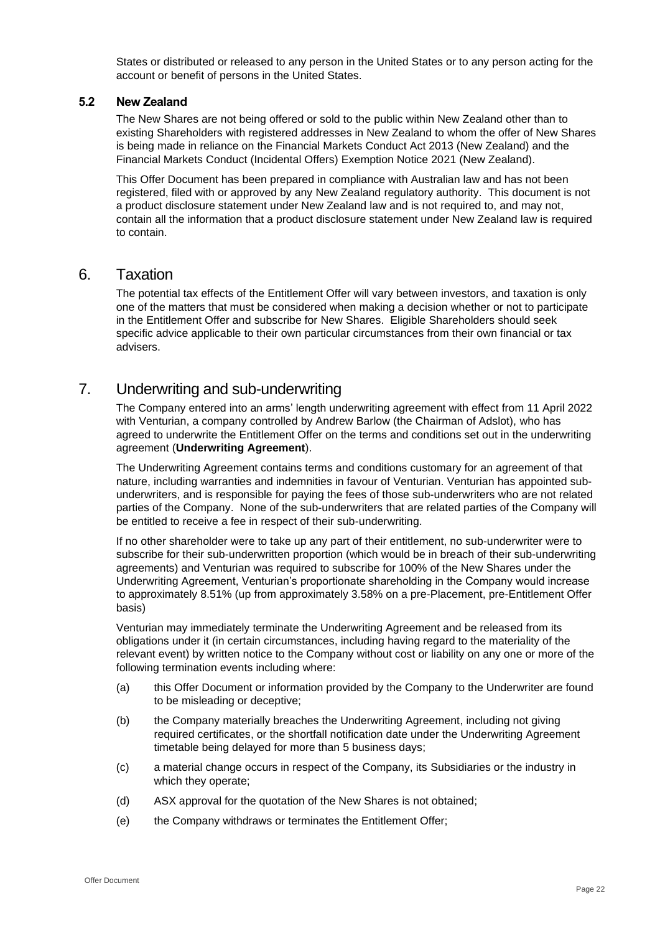States or distributed or released to any person in the United States or to any person acting for the account or benefit of persons in the United States.

#### **5.2 New Zealand**

The New Shares are not being offered or sold to the public within New Zealand other than to existing Shareholders with registered addresses in New Zealand to whom the offer of New Shares is being made in reliance on the Financial Markets Conduct Act 2013 (New Zealand) and the Financial Markets Conduct (Incidental Offers) Exemption Notice 2021 (New Zealand).

This Offer Document has been prepared in compliance with Australian law and has not been registered, filed with or approved by any New Zealand regulatory authority. This document is not a product disclosure statement under New Zealand law and is not required to, and may not, contain all the information that a product disclosure statement under New Zealand law is required to contain.

# 6. Taxation

The potential tax effects of the Entitlement Offer will vary between investors, and taxation is only one of the matters that must be considered when making a decision whether or not to participate in the Entitlement Offer and subscribe for New Shares. Eligible Shareholders should seek specific advice applicable to their own particular circumstances from their own financial or tax advisers.

# <span id="page-21-0"></span>7. Underwriting and sub-underwriting

The Company entered into an arms' length underwriting agreement with effect from 11 April 2022 with Venturian, a company controlled by Andrew Barlow (the Chairman of Adslot), who has agreed to underwrite the Entitlement Offer on the terms and conditions set out in the underwriting agreement (**Underwriting Agreement**).

The Underwriting Agreement contains terms and conditions customary for an agreement of that nature, including warranties and indemnities in favour of Venturian. Venturian has appointed subunderwriters, and is responsible for paying the fees of those sub-underwriters who are not related parties of the Company. None of the sub-underwriters that are related parties of the Company will be entitled to receive a fee in respect of their sub-underwriting.

If no other shareholder were to take up any part of their entitlement, no sub-underwriter were to subscribe for their sub-underwritten proportion (which would be in breach of their sub-underwriting agreements) and Venturian was required to subscribe for 100% of the New Shares under the Underwriting Agreement, Venturian's proportionate shareholding in the Company would increase to approximately 8.51% (up from approximately 3.58% on a pre-Placement, pre-Entitlement Offer basis)

Venturian may immediately terminate the Underwriting Agreement and be released from its obligations under it (in certain circumstances, including having regard to the materiality of the relevant event) by written notice to the Company without cost or liability on any one or more of the following termination events including where:

- (a) this Offer Document or information provided by the Company to the Underwriter are found to be misleading or deceptive;
- (b) the Company materially breaches the Underwriting Agreement, including not giving required certificates, or the shortfall notification date under the Underwriting Agreement timetable being delayed for more than 5 business days;
- (c) a material change occurs in respect of the Company, its Subsidiaries or the industry in which they operate;
- (d) ASX approval for the quotation of the New Shares is not obtained;
- (e) the Company withdraws or terminates the Entitlement Offer;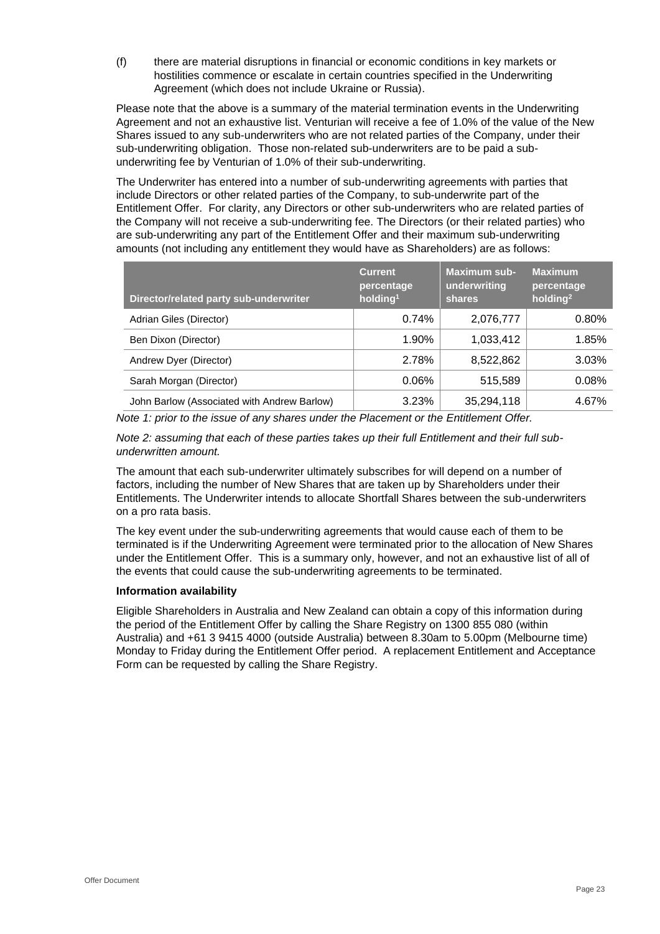(f) there are material disruptions in financial or economic conditions in key markets or hostilities commence or escalate in certain countries specified in the Underwriting Agreement (which does not include Ukraine or Russia).

Please note that the above is a summary of the material termination events in the Underwriting Agreement and not an exhaustive list. Venturian will receive a fee of 1.0% of the value of the New Shares issued to any sub-underwriters who are not related parties of the Company, under their sub-underwriting obligation. Those non-related sub-underwriters are to be paid a subunderwriting fee by Venturian of 1.0% of their sub-underwriting.

The Underwriter has entered into a number of sub-underwriting agreements with parties that include Directors or other related parties of the Company, to sub-underwrite part of the Entitlement Offer. For clarity, any Directors or other sub-underwriters who are related parties of the Company will not receive a sub-underwriting fee. The Directors (or their related parties) who are sub-underwriting any part of the Entitlement Offer and their maximum sub-underwriting amounts (not including any entitlement they would have as Shareholders) are as follows:

| Director/related party sub-underwriter      | <b>Current</b><br>percentage<br>holding <sup>1</sup> | <b>Maximum sub-</b><br>underwriting<br><b>shares</b> | <b>Maximum</b><br>percentage<br>holding <sup>2</sup> |
|---------------------------------------------|------------------------------------------------------|------------------------------------------------------|------------------------------------------------------|
| Adrian Giles (Director)                     | 0.74%                                                | 2,076,777                                            | $0.80\%$                                             |
| Ben Dixon (Director)                        | $1.90\%$                                             | 1,033,412                                            | 1.85%                                                |
| Andrew Dyer (Director)                      | 2.78%                                                | 8,522,862                                            | 3.03%                                                |
| Sarah Morgan (Director)                     | 0.06%                                                | 515.589                                              | 0.08%                                                |
| John Barlow (Associated with Andrew Barlow) | 3.23%                                                | 35,294,118                                           | 4.67%                                                |

*Note 1: prior to the issue of any shares under the Placement or the Entitlement Offer.*

*Note 2: assuming that each of these parties takes up their full Entitlement and their full subunderwritten amount.* 

The amount that each sub-underwriter ultimately subscribes for will depend on a number of factors, including the number of New Shares that are taken up by Shareholders under their Entitlements. The Underwriter intends to allocate Shortfall Shares between the sub-underwriters on a pro rata basis.

The key event under the sub-underwriting agreements that would cause each of them to be terminated is if the Underwriting Agreement were terminated prior to the allocation of New Shares under the Entitlement Offer. This is a summary only, however, and not an exhaustive list of all of the events that could cause the sub-underwriting agreements to be terminated.

#### **Information availability**

Eligible Shareholders in Australia and New Zealand can obtain a copy of this information during the period of the Entitlement Offer by calling the Share Registry on 1300 855 080 (within Australia) and +61 3 9415 4000 (outside Australia) between 8.30am to 5.00pm (Melbourne time) Monday to Friday during the Entitlement Offer period. A replacement Entitlement and Acceptance Form can be requested by calling the Share Registry.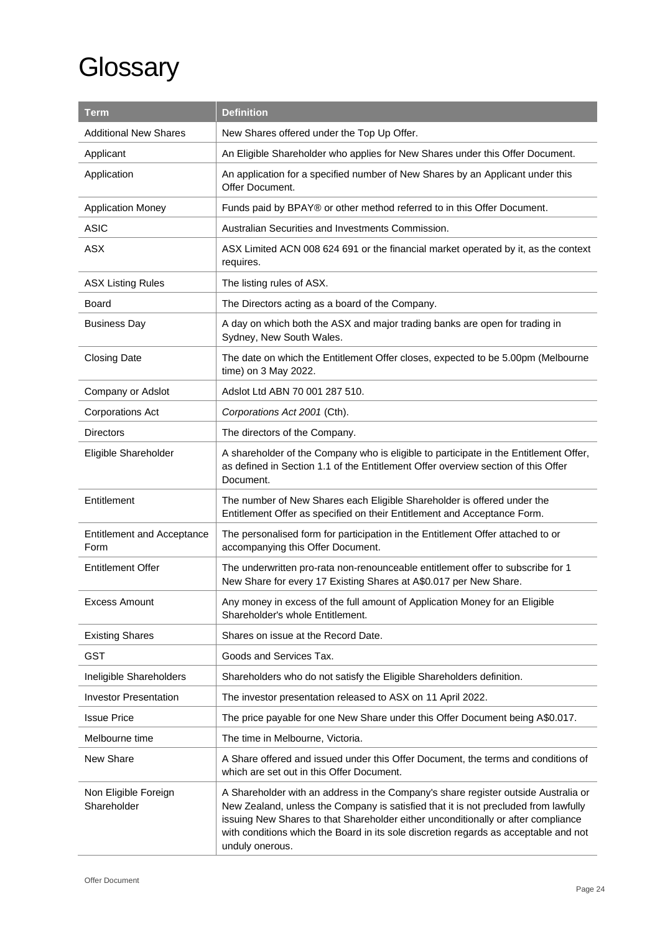# **Glossary**

| Term                                                                                       | <b>Definition</b>                                                                                                                                                                                                                                                                                                                                                         |
|--------------------------------------------------------------------------------------------|---------------------------------------------------------------------------------------------------------------------------------------------------------------------------------------------------------------------------------------------------------------------------------------------------------------------------------------------------------------------------|
| <b>Additional New Shares</b>                                                               | New Shares offered under the Top Up Offer.                                                                                                                                                                                                                                                                                                                                |
| An Eligible Shareholder who applies for New Shares under this Offer Document.<br>Applicant |                                                                                                                                                                                                                                                                                                                                                                           |
| Application                                                                                | An application for a specified number of New Shares by an Applicant under this<br>Offer Document.                                                                                                                                                                                                                                                                         |
| <b>Application Money</b>                                                                   | Funds paid by BPAY® or other method referred to in this Offer Document.                                                                                                                                                                                                                                                                                                   |
| <b>ASIC</b>                                                                                | Australian Securities and Investments Commission.                                                                                                                                                                                                                                                                                                                         |
| <b>ASX</b>                                                                                 | ASX Limited ACN 008 624 691 or the financial market operated by it, as the context<br>requires.                                                                                                                                                                                                                                                                           |
| <b>ASX Listing Rules</b>                                                                   | The listing rules of ASX.                                                                                                                                                                                                                                                                                                                                                 |
| Board                                                                                      | The Directors acting as a board of the Company.                                                                                                                                                                                                                                                                                                                           |
| <b>Business Day</b>                                                                        | A day on which both the ASX and major trading banks are open for trading in<br>Sydney, New South Wales.                                                                                                                                                                                                                                                                   |
| <b>Closing Date</b>                                                                        | The date on which the Entitlement Offer closes, expected to be 5.00pm (Melbourne<br>time) on 3 May 2022.                                                                                                                                                                                                                                                                  |
| Company or Adslot                                                                          | Adslot Ltd ABN 70 001 287 510.                                                                                                                                                                                                                                                                                                                                            |
| <b>Corporations Act</b>                                                                    | Corporations Act 2001 (Cth).                                                                                                                                                                                                                                                                                                                                              |
| Directors                                                                                  | The directors of the Company.                                                                                                                                                                                                                                                                                                                                             |
| Eligible Shareholder                                                                       | A shareholder of the Company who is eligible to participate in the Entitlement Offer,<br>as defined in Section 1.1 of the Entitlement Offer overview section of this Offer<br>Document.                                                                                                                                                                                   |
| Entitlement                                                                                | The number of New Shares each Eligible Shareholder is offered under the<br>Entitlement Offer as specified on their Entitlement and Acceptance Form.                                                                                                                                                                                                                       |
| <b>Entitlement and Acceptance</b><br>Form                                                  | The personalised form for participation in the Entitlement Offer attached to or<br>accompanying this Offer Document.                                                                                                                                                                                                                                                      |
| <b>Entitlement Offer</b>                                                                   | The underwritten pro-rata non-renounceable entitlement offer to subscribe for 1<br>New Share for every 17 Existing Shares at A\$0.017 per New Share.                                                                                                                                                                                                                      |
| Excess Amount                                                                              | Any money in excess of the full amount of Application Money for an Eligible<br>Shareholder's whole Entitlement.                                                                                                                                                                                                                                                           |
| <b>Existing Shares</b>                                                                     | Shares on issue at the Record Date.                                                                                                                                                                                                                                                                                                                                       |
| <b>GST</b>                                                                                 | Goods and Services Tax.                                                                                                                                                                                                                                                                                                                                                   |
| Ineligible Shareholders                                                                    | Shareholders who do not satisfy the Eligible Shareholders definition.                                                                                                                                                                                                                                                                                                     |
| <b>Investor Presentation</b>                                                               | The investor presentation released to ASX on 11 April 2022.                                                                                                                                                                                                                                                                                                               |
| <b>Issue Price</b>                                                                         | The price payable for one New Share under this Offer Document being A\$0.017.                                                                                                                                                                                                                                                                                             |
| Melbourne time                                                                             | The time in Melbourne, Victoria.                                                                                                                                                                                                                                                                                                                                          |
| New Share                                                                                  | A Share offered and issued under this Offer Document, the terms and conditions of<br>which are set out in this Offer Document.                                                                                                                                                                                                                                            |
| Non Eligible Foreign<br>Shareholder                                                        | A Shareholder with an address in the Company's share register outside Australia or<br>New Zealand, unless the Company is satisfied that it is not precluded from lawfully<br>issuing New Shares to that Shareholder either unconditionally or after compliance<br>with conditions which the Board in its sole discretion regards as acceptable and not<br>unduly onerous. |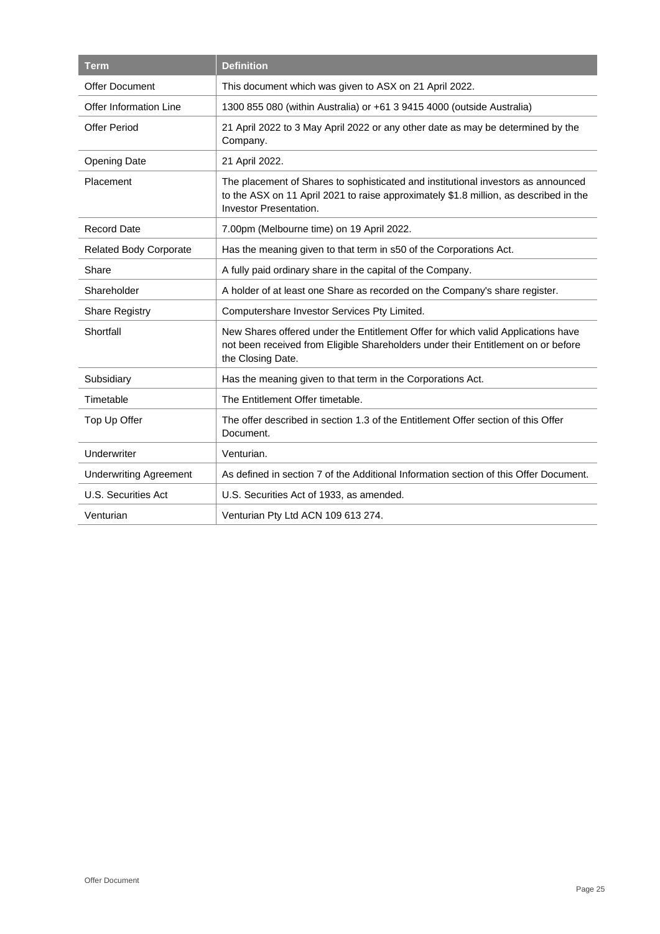| <b>Term</b>                   | <b>Definition</b>                                                                                                                                                                                    |
|-------------------------------|------------------------------------------------------------------------------------------------------------------------------------------------------------------------------------------------------|
| <b>Offer Document</b>         | This document which was given to ASX on 21 April 2022.                                                                                                                                               |
| <b>Offer Information Line</b> | 1300 855 080 (within Australia) or +61 3 9415 4000 (outside Australia)                                                                                                                               |
| <b>Offer Period</b>           | 21 April 2022 to 3 May April 2022 or any other date as may be determined by the<br>Company.                                                                                                          |
| <b>Opening Date</b>           | 21 April 2022.                                                                                                                                                                                       |
| Placement                     | The placement of Shares to sophisticated and institutional investors as announced<br>to the ASX on 11 April 2021 to raise approximately \$1.8 million, as described in the<br>Investor Presentation. |
| <b>Record Date</b>            | 7.00pm (Melbourne time) on 19 April 2022.                                                                                                                                                            |
| <b>Related Body Corporate</b> | Has the meaning given to that term in s50 of the Corporations Act.                                                                                                                                   |
| Share                         | A fully paid ordinary share in the capital of the Company.                                                                                                                                           |
| Shareholder                   | A holder of at least one Share as recorded on the Company's share register.                                                                                                                          |
| <b>Share Registry</b>         | Computershare Investor Services Pty Limited.                                                                                                                                                         |
| Shortfall                     | New Shares offered under the Entitlement Offer for which valid Applications have<br>not been received from Eligible Shareholders under their Entitlement on or before<br>the Closing Date.           |
| Subsidiary                    | Has the meaning given to that term in the Corporations Act.                                                                                                                                          |
| Timetable                     | The Entitlement Offer timetable.                                                                                                                                                                     |
| Top Up Offer                  | The offer described in section 1.3 of the Entitlement Offer section of this Offer<br>Document.                                                                                                       |
| Underwriter                   | Venturian.                                                                                                                                                                                           |
| <b>Underwriting Agreement</b> | As defined in section 7 of the Additional Information section of this Offer Document.                                                                                                                |
| U.S. Securities Act           | U.S. Securities Act of 1933, as amended.                                                                                                                                                             |
| Venturian                     | Venturian Pty Ltd ACN 109 613 274.                                                                                                                                                                   |